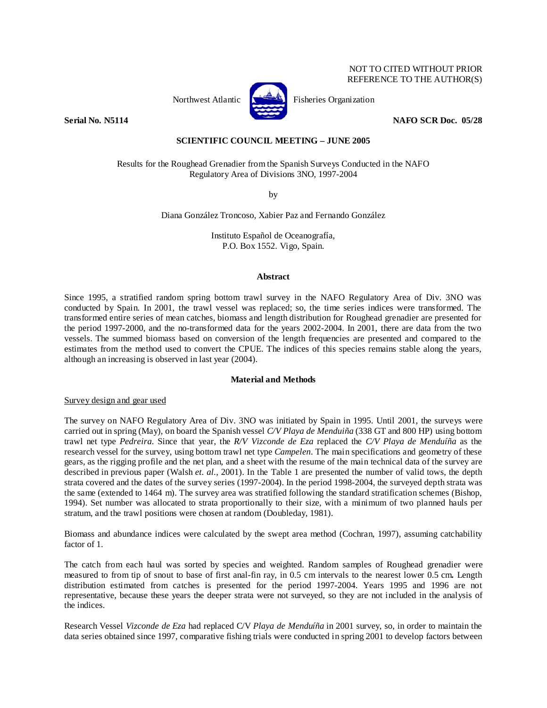# NOT TO CITED WITHOUT PRIOR REFERENCE TO THE AUTHOR(S)



Northwest Atlantic **Fisheries** Organization

**Serial No. N5114 NAFO SCR Doc. 05/28 NAFO SCR Doc. 05/28** 

## **SCIENTIFIC COUNCIL MEETING – JUNE 2005**

Results for the Roughead Grenadier from the Spanish Surveys Conducted in the NAFO Regulatory Area of Divisions 3NO, 1997-2004

by

Diana González Troncoso, Xabier Paz and Fernando González

Instituto Español de Oceanografía, P.O. Box 1552. Vigo, Spain.

#### **Abstract**

Since 1995, a stratified random spring bottom trawl survey in the NAFO Regulatory Area of Div. 3NO was conducted by Spain. In 2001, the trawl vessel was replaced; so, the time series indices were transformed. The transformed entire series of mean catches, biomass and length distribution for Roughead grenadier are presented for the period 1997-2000, and the no-transformed data for the years 2002-2004. In 2001, there are data from the two vessels. The summed biomass based on conversion of the length frequencies are presented and compared to the estimates from the method used to convert the CPUE. The indices of this species remains stable along the years, although an increasing is observed in last year (2004).

## **Material and Methods**

## Survey design and gear used

The survey on NAFO Regulatory Area of Div. 3NO was initiated by Spain in 1995. Until 2001, the surveys were carried out in spring (May), on board the Spanish vessel *C/V Playa de Menduiña* (338 GT and 800 HP) using bottom trawl net type *Pedreira*. Since that year, the *R/V Vizconde de Eza* replaced the *C/V Playa de Menduíña* as the research vessel for the survey, using bottom trawl net type *Campelen*. The main specifications and geometry of these gears, as the rigging profile and the net plan, and a sheet with the resume of the main technical data of the survey are described in previous paper (Walsh *et. al.*, 2001). In the Table 1 are presented the number of valid tows, the depth strata covered and the dates of the survey series (1997-2004). In the period 1998-2004, the surveyed depth strata was the same (extended to 1464 m). The survey area was stratified following the standard stratification schemes (Bishop, 1994). Set number was allocated to strata proportionally to their size, with a minimum of two planned hauls per stratum, and the trawl positions were chosen at random (Doubleday, 1981).

Biomass and abundance indices were calculated by the swept area method (Cochran, 1997), assuming catchability factor of 1.

The catch from each haul was sorted by species and weighted. Random samples of Roughead grenadier were measured to from tip of snout to base of first anal-fin ray, in 0.5 cm intervals to the nearest lower 0.5 cm**.** Length distribution estimated from catches is presented for the period 1997-2004. Years 1995 and 1996 are not representative, because these years the deeper strata were not surveyed, so they are not included in the analysis of the indices.

Research Vessel *Vizconde de Eza* had replaced C/V *Playa de Menduíña* in 2001 survey, so, in order to maintain the data series obtained since 1997, comparative fishing trials were conducted in spring 2001 to develop factors between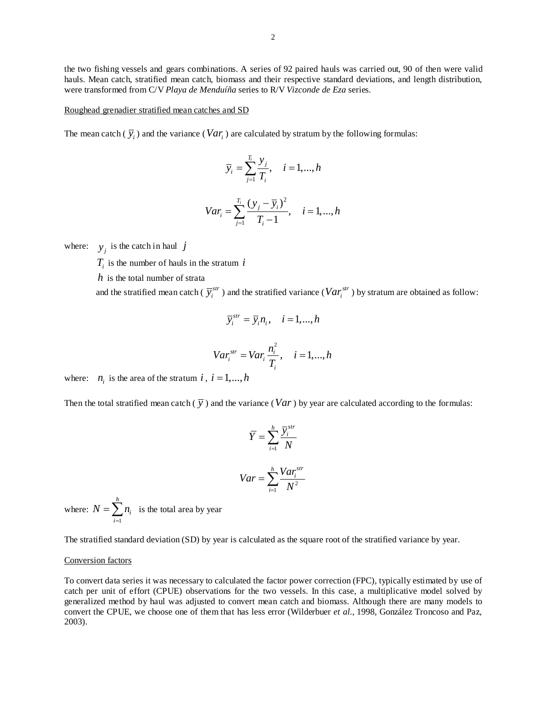the two fishing vessels and gears combinations. A series of 92 paired hauls was carried out, 90 of then were valid hauls. Mean catch, stratified mean catch, biomass and their respective standard deviations, and length distribution, were transformed from C/V *Playa de Menduíña* series to R/V *Vizconde de Eza* series.

#### Roughead grenadier stratified mean catches and SD

The mean catch  $(\bar{y}_i)$  and the variance (*Var<sub>i</sub>*) are calculated by stratum by the following formulas:

$$
\overline{y}_i = \sum_{j=1}^{T_i} \frac{y_j}{T_i}, \quad i = 1, \dots, h
$$

$$
Var_i = \sum_{j=1}^{T_i} \frac{(y_j - \overline{y}_i)^2}{T_i - 1}, \quad i = 1, ..., h
$$

where:  $y_i$  is the catch in haul *j* 

 $T_i$  is the number of hauls in the stratum  $i$ 

*h* is the total number of strata

and the stratified mean catch ( $\overline{y}^{str}_i$ ) and the stratified variance ( $Var^{str}_i$ ) by stratum are obtained as follow:

$$
\overline{y}_i^{str} = \overline{y}_i n_i, \quad i = 1, ..., h
$$
  

$$
Var_i^{str} = Var_i \frac{n_i^2}{T_i}, \quad i = 1, ..., h
$$

where:  $n_i$  is the area of the stratum *i*,  $i = 1,...,h$ 

Then the total stratified mean catch  $(\bar{y})$  and the variance (*Var*) by year are calculated according to the formulas:

$$
\overline{Y} = \sum_{i=1}^{h} \frac{\overline{Y}_{i}^{str}}{N}
$$

$$
Var = \sum_{i=1}^{h} \frac{Var_{i}^{str}}{N^{2}}
$$

where: 1 *h i i*  $N = \sum n$  $=\sum_{i=1}^{n} n_i$  is the total area by year

The stratified standard deviation (SD) by year is calculated as the square root of the stratified variance by year.

### Conversion factors

To convert data series it was necessary to calculated the factor power correction (FPC), typically estimated by use of catch per unit of effort (CPUE) observations for the two vessels. In this case, a multiplicative model solved by generalized method by haul was adjusted to convert mean catch and biomass. Although there are many models to convert the CPUE, we choose one of them that has less error (Wilderbuer *et al.*, 1998, González Troncoso and Paz, 2003).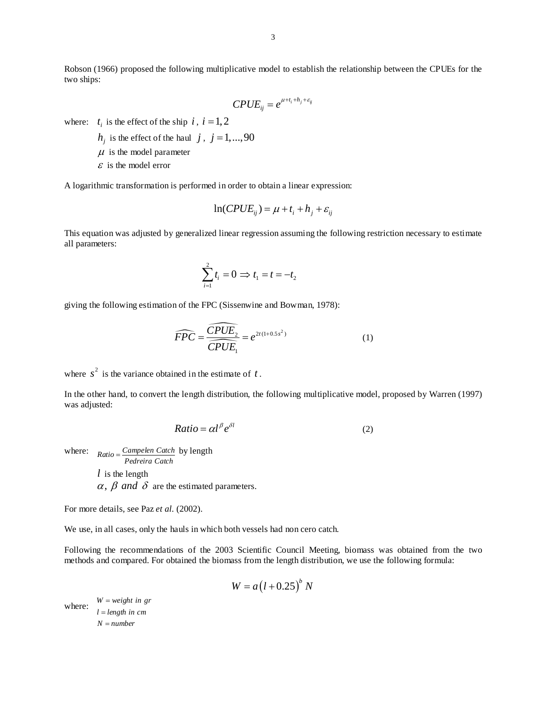$$
CPUE_{ij} = e^{\mu + t_i + h_j + \varepsilon_{ij}}
$$

where:  $t_i$  is the effect of the ship  $i$ ,  $i = 1, 2$ 

 $h_i$  is the effect of the haul *j*, *j* = 1,...,90

 $\mu$  is the model parameter

 $\epsilon$  is the model error

A logarithmic transformation is performed in order to obtain a linear expression:

$$
\ln(CPUE_{ij}) = \mu + t_i + h_j + \varepsilon_{ij}
$$

This equation was adjusted by generalized linear regression assuming the following restriction necessary to estimate all parameters:

$$
\sum_{i=1}^2 t_i = 0 \Rightarrow t_1 = t = -t_2
$$

giving the following estimation of the FPC (Sissenwine and Bowman, 1978):

$$
\widehat{FPC} = \frac{\widehat{CPUE}_2}{\widehat{CPUE}_1} = e^{2t(1+0.5s^2)} \tag{1}
$$

where  $s^2$  is the variance obtained in the estimate of  $t$ .

In the other hand, to convert the length distribution, the following multiplicative model, proposed by Warren (1997) was adjusted:

$$
Ratio = \alpha l^{\beta} e^{\delta l} \tag{2}
$$

where:  $Ratio = \frac{Campelen Catch}{Pedreira Catch}$  by length *l* is the length  $\alpha$ ,  $\beta$  and  $\delta$  are the estimated parameters.

For more details, see Paz *et al.* (2002).

We use, in all cases, only the hauls in which both vessels had non cero catch.

Following the recommendations of the 2003 Scientific Council Meeting, biomass was obtained from the two methods and compared. For obtained the biomass from the length distribution, we use the following formula:

$$
W = a(l + 0.25)^{b} N
$$

where:  $W = weight in gr$  $l = length$  in cm  $N = number$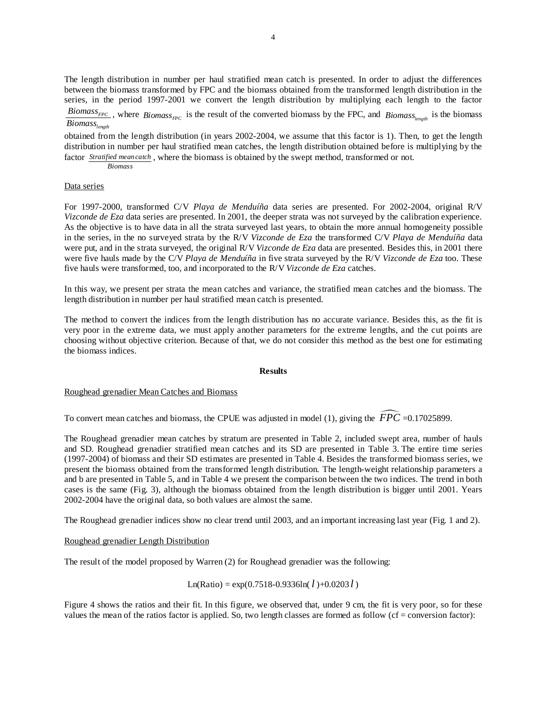The length distribution in number per haul stratified mean catch is presented. In order to adjust the differences between the biomass transformed by FPC and the biomass obtained from the transformed length distribution in the series, in the period 1997-2001 we convert the length distribution by multiplying each length to the factor

*Biomass<sub>FPC</sub>*, where *Biomass<sub>FPC</sub>* is the result of the converted biomass by the FPC, and *Biomass*<sub>length</sub> is the biomass *length Biomass*

obtained from the length distribution (in years 2002-2004, we assume that this factor is 1). Then, to get the length distribution in number per haul stratified mean catches, the length distribution obtained before is multiplying by the factor *Stratified meancatch*, where the biomass is obtained by the swept method, transformed or not.

*Biomass*

## Data series

For 1997-2000, transformed C/V *Playa de Menduíña* data series are presented. For 2002-2004, original R/V *Vizconde de Eza* data series are presented. In 2001, the deeper strata was not surveyed by the calibration experience. As the objective is to have data in all the strata surveyed last years, to obtain the more annual homogeneity possible in the series, in the no surveyed strata by the R/V *Vizconde de Eza* the transformed C/V *Playa de Menduíña* data were put, and in the strata surveyed, the original R/V *Vizconde de Eza* data are presented. Besides this, in 2001 there were five hauls made by the C/V *Playa de Menduíña* in five strata surveyed by the R/V *Vizconde de Eza* too. These five hauls were transformed, too, and incorporated to the R/V *Vizconde de Eza* catches.

In this way, we present per strata the mean catches and variance, the stratified mean catches and the biomass. The length distribution in number per haul stratified mean catch is presented.

The method to convert the indices from the length distribution has no accurate variance. Besides this, as the fit is very poor in the extreme data, we must apply another parameters for the extreme lengths, and the cut points are choosing without objective criterion. Because of that, we do not consider this method as the best one for estimating the biomass indices.

#### **Results**

#### Roughead grenadier Mean Catches and Biomass

To convert mean catches and biomass, the CPUE was adjusted in model (1), giving the  $\widehat{FPC}$  =0.17025899.

The Roughead grenadier mean catches by stratum are presented in Table 2, included swept area, number of hauls and SD. Roughead grenadier stratified mean catches and its SD are presented in Table 3. The entire time series (1997-2004) of biomass and their SD estimates are presented in Table 4. Besides the transformed biomass series, we present the biomass obtained from the transformed length distribution. The length-weight relationship parameters a and b are presented in Table 5, and in Table 4 we present the comparison between the two indices. The trend in both cases is the same (Fig. 3), although the biomass obtained from the length distribution is bigger until 2001. Years 2002-2004 have the original data, so both values are almost the same.

The Roughead grenadier indices show no clear trend until 2003, and an important increasing last year (Fig. 1 and 2).

### Roughead grenadier Length Distribution

The result of the model proposed by Warren (2) for Roughead grenadier was the following:

 $Ln(Ratio) = exp(0.7518 - 0.9336ln(l) + 0.0203 l)$ 

Figure 4 shows the ratios and their fit. In this figure, we observed that, under 9 cm, the fit is very poor, so for these values the mean of the ratios factor is applied. So, two length classes are formed as follow ( $cf = conversion$  factor):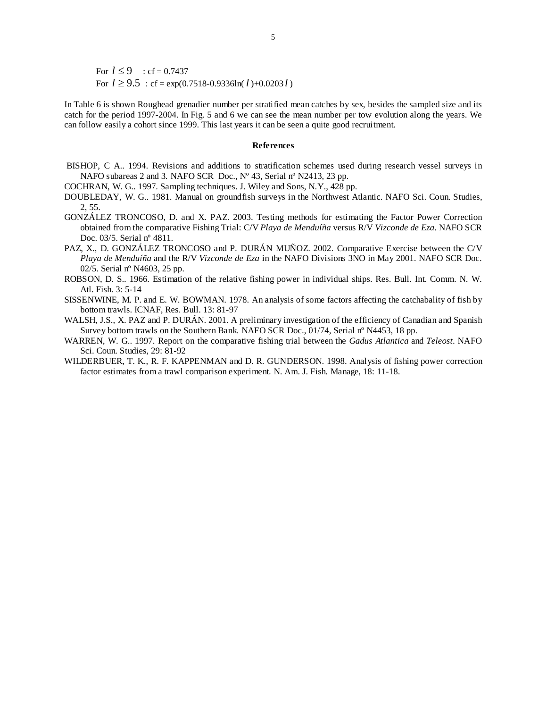For  $l \leq 9$  : cf = 0.7437 For  $l \ge 9.5$  : cf = exp(0.7518-0.9336ln( $l$ )+0.0203 $l$ )

In Table 6 is shown Roughead grenadier number per stratified mean catches by sex, besides the sampled size and its catch for the period 1997-2004. In Fig. 5 and 6 we can see the mean number per tow evolution along the years. We can follow easily a cohort since 1999. This last years it can be seen a quite good recruitment.

#### **References**

- BISHOP, C A.. 1994. Revisions and additions to stratification schemes used during research vessel surveys in NAFO subareas 2 and 3*.* NAFO SCR Doc., Nº 43, Serial nº N2413, 23 pp.
- COCHRAN, W. G.. 1997. Sampling techniques. J. Wiley and Sons, N.Y., 428 pp.
- DOUBLEDAY, W. G.. 1981. Manual on groundfish surveys in the Northwest Atlantic. NAFO Sci. Coun. Studies, 2, 55.
- GONZÁLEZ TRONCOSO, D. and X. PAZ. 2003. Testing methods for estimating the Factor Power Correction obtained from the comparative Fishing Trial: C/V *Playa de Menduíña* versus R/V *Vizconde de Eza*. NAFO SCR Doc. 03/5. Serial nº 4811.
- PAZ, X., D. GONZÁLEZ TRONCOSO and P. DURÁN MUÑOZ. 2002. Comparative Exercise between the C/V *Playa de Menduíña* and the R/V *Vizconde de Eza* in the NAFO Divisions 3NO in May 2001. NAFO SCR Doc. 02/5. Serial nº N4603, 25 pp.
- ROBSON, D. S.. 1966. Estimation of the relative fishing power in individual ships. Res. Bull. Int. Comm. N. W. Atl. Fish. 3: 5-14
- SISSENWINE, M. P. and E. W. BOWMAN. 1978. An analysis of some factors affecting the catchabality of fish by bottom trawls. ICNAF, Res. Bull. 13: 81-97
- WALSH, J.S., X. PAZ and P. DURÁN. 2001. A preliminary investigation of the efficiency of Canadian and Spanish Survey bottom trawls on the Southern Bank. NAFO SCR Doc., 01/74, Serial nº N4453, 18 pp.
- WARREN, W. G.. 1997. Report on the comparative fishing trial between the *Gadus Atlantica* and *Teleost*. NAFO Sci. Coun. Studies, 29: 81-92
- WILDERBUER, T. K., R. F. KAPPENMAN and D. R. GUNDERSON. 1998. Analysis of fishing power correction factor estimates from a trawl comparison experiment. N. Am. J. Fish. Manage, 18: 11-18.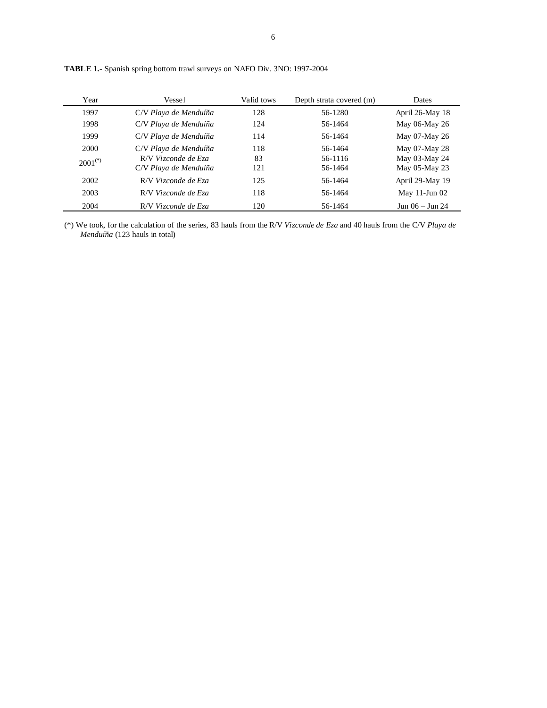| Year         | Vessel                | Valid tows | Depth strata covered (m) | <b>Dates</b>       |
|--------------|-----------------------|------------|--------------------------|--------------------|
| 1997         | C/V Playa de Menduíña | 128        | 56-1280                  | April 26-May 18    |
| 1998         | C/V Playa de Menduíña | 124        | 56-1464                  | May 06-May 26      |
| 1999         | C/V Playa de Menduíña | 114        | 56-1464                  | May 07-May 26      |
| 2000         | C/V Playa de Menduíña | 118        | 56-1464                  | May 07-May 28      |
| $2001^{(*)}$ | R/V Vizconde de Eza   | 83         | 56-1116                  | May 03-May 24      |
|              | C/V Playa de Menduíña | 121        | 56-1464                  | May 05-May 23      |
| 2002         | R/V Vizconde de Eza   | 125        | 56-1464                  | April 29-May 19    |
| 2003         | R/V Vizconde de Eza   | 118        | 56-1464                  | May $11$ -Jun $02$ |
| 2004         | R/V Vizconde de Eza   | 120        | 56-1464                  | Jun 06 – Jun 24    |

**TABLE 1.-** Spanish spring bottom trawl surveys on NAFO Div. 3NO: 1997-2004

(\*) We took, for the calculation of the series, 83 hauls from the R/V *Vizconde de Eza* and 40 hauls from the C/V *Playa de Menduíña* (123 hauls in total)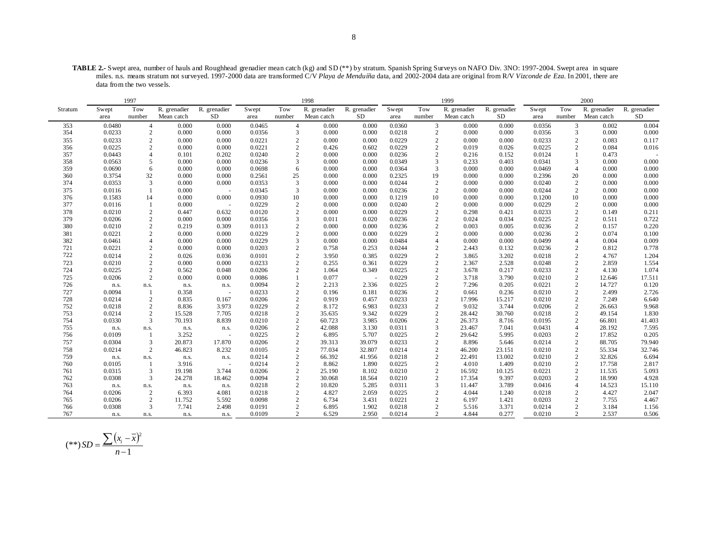**TABLE 2.-** Swept area, number of hauls and Roughhead grenadier mean catch (kg) and SD (\*\*) by stratum. Spanish Spring Surveys on NAFO Div. 3NO: 1997-2004. Swept area in square miles. n.s. means stratum not surveyed. 1997-2000 data are transformed C/V *Playa de Menduíña* data, and 2002-2004 data are original from R/V *Vizconde de Eza*. In 2001, there are data from the two vessels.

| R. grenadier<br>R. grenadier<br>Tow<br>R. grenadier<br>R. grenadier<br>Tow<br>Tow<br>R. grenadier<br>R. grenadier<br>Tow<br>R. grenadier<br>Swept<br>Swept<br>Stratum<br>Swept<br>Swept<br>SD<br>SD<br>number<br>number<br>Mean catch<br>SD<br>number<br>Mean catch<br>number<br>Mean catch<br>Mean catch<br>area<br>area<br>area<br>area | R. grenadier<br>SD<br>0.004<br>0.002<br>0.000<br>0.000 |
|-------------------------------------------------------------------------------------------------------------------------------------------------------------------------------------------------------------------------------------------------------------------------------------------------------------------------------------------|--------------------------------------------------------|
|                                                                                                                                                                                                                                                                                                                                           |                                                        |
|                                                                                                                                                                                                                                                                                                                                           |                                                        |
| 0.000<br>0.0360<br>3<br>0.0356<br>3<br>353<br>0.0480<br>$\overline{4}$<br>0.000<br>0.000<br>0.0465<br>$\overline{4}$<br>0.000<br>0.000<br>0.000                                                                                                                                                                                           |                                                        |
| 0.0218<br>354<br>0.0233<br>2<br>0.000<br>0.0356<br>3<br>0.000<br>0.000<br>$\mathbf{2}$<br>0.000<br>0.000<br>0.0356<br>3<br>0.000                                                                                                                                                                                                          |                                                        |
| $\overline{c}$<br>$\sqrt{2}$<br>0.0233<br>$\overline{c}$<br>0.000<br>0.0221<br>$\overline{2}$<br>0.000<br>0.0229<br>0.000<br>0.0233<br>355<br>0.000<br>0.000<br>0.000                                                                                                                                                                     | 0.117<br>0.083                                         |
| 0.0225<br>2<br>0.0229<br>$\overline{c}$<br>$\overline{2}$<br>356<br>2<br>0.000<br>0.000<br>0.0221<br>0.602<br>0.026<br>0.0225<br>0.426<br>0.019                                                                                                                                                                                           | 0.084<br>0.016                                         |
| 0.0443<br>0.0240<br>0.0236<br>$\overline{c}$<br>357<br>$\overline{4}$<br>0.101<br>0.202<br>$\overline{c}$<br>0.000<br>0.000<br>0.216<br>0.152<br>0.0124                                                                                                                                                                                   | 0.473                                                  |
| 0.0563<br>0.0236<br>0.000<br>0.0349<br>3<br>3<br>358<br>5<br>0.000<br>0.000<br>3<br>0.000<br>0.233<br>0.403<br>0.0341                                                                                                                                                                                                                     | 0.000<br>0.000                                         |
| 359<br>0.0690<br>6<br>0.0698<br>6<br>0.000<br>0.000<br>0.0364<br>3<br>0.000<br>0.000<br>0.0469<br>$\overline{4}$<br>0.000<br>0.000                                                                                                                                                                                                        | 0.000<br>0.000                                         |
| 0.2325<br>19<br>360<br>0.3754<br>32<br>0.000<br>0.000<br>0.2561<br>25<br>0.000<br>0.000<br>0.000<br>0.000<br>0.2396<br>20                                                                                                                                                                                                                 | 0.000<br>0.000                                         |
| 0.0353<br>0.0244<br>$\overline{c}$<br>3<br>0.000<br>0.000<br>0.0353<br>3<br>0.000<br>0.000<br>$\overline{c}$<br>0.000<br>0.000<br>0.0240<br>374                                                                                                                                                                                           | 0.000<br>0.000                                         |
| 375<br>0.0116<br>3<br>0.000<br>0.0236<br>2<br>0.0244<br>$\overline{2}$<br>$\overline{1}$<br>0.000<br>0.0345<br>0.000<br>0.000<br>0.000<br>$\sim$                                                                                                                                                                                          | 0.000<br>0.000                                         |
| 376<br>0.1583<br>0.000<br>0.000<br>0.0930<br>10<br>0.000<br>0.000<br>0.1219<br>10<br>0.000<br>0.000<br>0.1200<br>10<br>14                                                                                                                                                                                                                 | 0.000<br>0.000                                         |
| 0.0116<br>0.000<br>0.0229<br>2<br>0.000<br>0.0240<br>$\mathbf{2}$<br>0.000<br>0.000<br>0.0229<br>$\overline{2}$<br>377<br>0.000<br>-1<br>$\sim$                                                                                                                                                                                           | 0.000<br>0.000                                         |
| $\overline{2}$<br>0.0210<br>$\overline{c}$<br>0.632<br>$\overline{c}$<br>0.0229<br>$\mathbf{2}$<br>378<br>0.447<br>0.0120<br>0.000<br>0.000<br>0.298<br>0.421<br>0.0233                                                                                                                                                                   | 0.149<br>0.211                                         |
| 2<br>$\overline{c}$<br>$\overline{c}$<br>379<br>0.0206<br>0.000<br>0.000<br>0.0356<br>3<br>0.020<br>0.0236<br>0.024<br>0.034<br>0.0225<br>0.011                                                                                                                                                                                           | 0.722<br>0.511                                         |
| 0.0210<br>0.0236<br>$\overline{c}$<br>$\overline{2}$<br>380<br>2<br>0.219<br>0.309<br>0.0113<br>2<br>0.000<br>0.000<br>0.003<br>0.005<br>0.0236                                                                                                                                                                                           | 0.220<br>0.157                                         |
| 0.0221<br>$\overline{c}$<br>0.0229<br>$\overline{c}$<br>$\overline{c}$<br>2<br>0.000<br>0.0229<br>0.000<br>0.000<br>0.000<br>0.0236<br>381<br>0.000<br>0.000                                                                                                                                                                              | 0.074<br>0.100                                         |
| 382<br>0.0461<br>$\overline{4}$<br>0.000<br>0.0229<br>3<br>0.000<br>0.0484<br>$\overline{4}$<br>0.000<br>0.0499<br>$\overline{4}$<br>0.000<br>0.000<br>0.000                                                                                                                                                                              | 0.004<br>0.009                                         |
| 0.0221<br>721<br>2<br>0.000<br>0.000<br>0.0203<br>2<br>0.253<br>0.0244<br>2<br>0.132<br>0.0236<br>2<br>0.758<br>2.443                                                                                                                                                                                                                     | 0.812<br>0.778                                         |
| 722<br>$\overline{2}$<br>$\overline{c}$<br>$\sqrt{2}$<br>0.0214<br>$\overline{2}$<br>0.0229<br>3.202<br>0.026<br>0.0101<br>3.950<br>0.385<br>3.865<br>0.0218<br>0.036                                                                                                                                                                     | 1.204<br>4.767                                         |
| $\overline{2}$<br>$\overline{c}$<br>$\overline{2}$<br>723<br>0.0210<br>$\overline{2}$<br>0.0233<br>0.0229<br>2.528<br>0.0248<br>0.000<br>0.000<br>0.255<br>0.361<br>2.367                                                                                                                                                                 | 2.859<br>1.554                                         |
| 0.0225<br>$\overline{c}$<br>0.0225<br>$\overline{c}$<br>$\sqrt{2}$<br>724<br>0.562<br>0.0206<br>$\overline{c}$<br>1.064<br>0.349<br>3.678<br>0.217<br>0.0233<br>0.048                                                                                                                                                                     | 1.074<br>4.130                                         |
| 0.0206<br>2<br>0.000<br>0.0086<br>0.0229<br>$\overline{c}$<br>3.790<br>$\overline{2}$<br>725<br>0.000<br>$\mathbf{1}$<br>0.077<br>3.718<br>0.0210                                                                                                                                                                                         | 17.511<br>12.646                                       |
| $\overline{2}$<br>$\overline{c}$<br>0.0225<br>$\overline{c}$<br>726<br>0.0094<br>2.213<br>2.336<br>7.296<br>0.205<br>0.0221<br>n.s.<br>n.s.<br>n.s.<br>n.s.                                                                                                                                                                               | 0.120<br>14.727                                        |
| 0.0094<br>$\overline{c}$<br>$\overline{c}$<br>727<br>0.0233<br>$\overline{c}$<br>0.0236<br>0.236<br>0.0210<br>0.358<br>0.196<br>0.181<br>0.661<br>-1<br>$\sim$                                                                                                                                                                            | 2.726<br>2.499                                         |
| 0.0233<br>$\overline{c}$<br>$\overline{c}$<br>728<br>0.0214<br>2<br>0.835<br>0.167<br>0.0206<br>2<br>0.919<br>0.457<br>17.996<br>15.217<br>0.0210                                                                                                                                                                                         | 7.249<br>6.640                                         |
| 0.0233<br>$\overline{c}$<br>$\sqrt{2}$<br>752<br>0.0218<br>2<br>8.836<br>0.0229<br>$\overline{c}$<br>8.172<br>6.983<br>9.032<br>3.744<br>0.0206<br>3.973                                                                                                                                                                                  | 9.968<br>26.663                                        |
| 0.0229<br>$\overline{c}$<br>$\sqrt{2}$<br>0.0214<br>$\overline{c}$<br>0.0218<br>$\overline{c}$<br>9.342<br>30.760<br>753<br>15.528<br>7.705<br>35.635<br>28.442<br>0.0218                                                                                                                                                                 | 1.830<br>49.154                                        |
| $\overline{2}$<br>754<br>0.0330<br>3<br>70.193<br>8.839<br>0.0210<br>2<br>60.723<br>3.985<br>0.0206<br>$\overline{2}$<br>26.373<br>8.716<br>0.0195<br>3                                                                                                                                                                                   | 41.403<br>66.801                                       |
| $\overline{c}$<br>$\overline{4}$<br>0.0206<br>42.088<br>3.130<br>0.0311<br>0.0431<br>755<br>23.467<br>7.041<br>n.s.<br>n.s.<br>n.s.<br>n.s.<br>0.0109<br>0.0225<br>0.0225<br>$\overline{c}$<br>29.642                                                                                                                                     | 7.595<br>28.192<br>0.205                               |
| $\overline{c}$<br>$\overline{2}$<br>756<br>3.252<br>6.895<br>5.707<br>5.995<br>0.0203<br>-1<br>$\sim$<br>0.0233<br>757<br>0.0304<br>3<br>20.873<br>17.870<br>0.0206<br>2<br>39.079<br>$\overline{2}$<br>0.0214<br>2<br>8.896<br>5.646                                                                                                     | 17.852<br>88.705<br>79.940                             |
| 39.313<br>$\overline{c}$<br>$\overline{c}$<br>0.0214<br>0.0105<br>32.807<br>0.0214<br>0.0210<br>46.200<br>23.151                                                                                                                                                                                                                          |                                                        |
| $\overline{2}$<br>$\overline{c}$<br>758<br>46.823<br>8.232<br>77.034<br>$\overline{c}$<br>759<br>0.0214<br>$\overline{c}$<br>66.392<br>41.956<br>0.0218<br>13.002<br>0.0210<br>$\overline{2}$<br>22.491<br>n.s.                                                                                                                           | 55.334<br>32.746<br>32.826<br>6.694                    |
| n.s.<br>n.s.<br>n.s.<br>$\overline{2}$<br>0.0225<br>$\overline{c}$<br>1.409<br>760<br>0.0105<br>3.916<br>0.0214<br>$\overline{c}$<br>8.862<br>1.890<br>0.0210<br>-1<br>4.010<br>÷.                                                                                                                                                        | 17.758<br>2.817                                        |
| $\overline{2}$<br>3<br>0.0206<br>$\overline{c}$<br>8.102<br>0.0210<br>$\overline{c}$<br>0.0315<br>19.198<br>16.592<br>10.125<br>0.0221<br>761<br>3.744<br>25.190                                                                                                                                                                          | 5.093<br>11.535                                        |
| 0.0308<br>3<br>0.0094<br>$\overline{c}$<br>0.0210<br>$\overline{c}$<br>9.397<br>0.0203<br>$\overline{2}$<br>762<br>24.278<br>18.462<br>30.068<br>18.564<br>17.354                                                                                                                                                                         | 4.928<br>18.990                                        |
| 0.0311<br>763<br>0.0218<br>2<br>5.285<br>3<br>3.789<br>0.0416<br>$\overline{4}$<br>10.820<br>11.447<br>n.s.<br>n.s.<br>n.s.<br>n.s.                                                                                                                                                                                                       | 14.523<br>15.110                                       |
| 0.0206<br>0.0225<br>$\overline{c}$<br>$\overline{c}$<br>2<br>4.081<br>0.0218<br>$\overline{c}$<br>4.827<br>2.059<br>4.044<br>1.240<br>0.0218<br>764<br>6.393                                                                                                                                                                              | 2.047<br>4.427                                         |
| $\overline{2}$<br>0.0221<br>$\overline{c}$<br>2<br>765<br>0.0206<br>11.752<br>5.592<br>0.0098<br>2<br>6.734<br>3.431<br>6.197<br>1.421<br>0.0203                                                                                                                                                                                          | 4.467<br>7.755                                         |
| $\overline{c}$<br>$\overline{c}$<br>766<br>0.0308<br>3<br>7.741<br>2.498<br>0.0191<br>2<br>1.902<br>0.0218<br>3.371<br>0.0214<br>6.895<br>5.516                                                                                                                                                                                           | 3.184<br>1.156                                         |
| $\overline{c}$<br>0.277<br>2<br>0.0109<br>$\overline{c}$<br>2.950<br>0.0214<br>0.0210<br>767<br>6.529<br>4.844<br>n.s.<br>n.s.<br>n.s.<br>n.s.                                                                                                                                                                                            | 2.537<br>0.506                                         |

$$
(**) SD = \frac{\sum (x_i - \bar{x})^2}{n - 1}
$$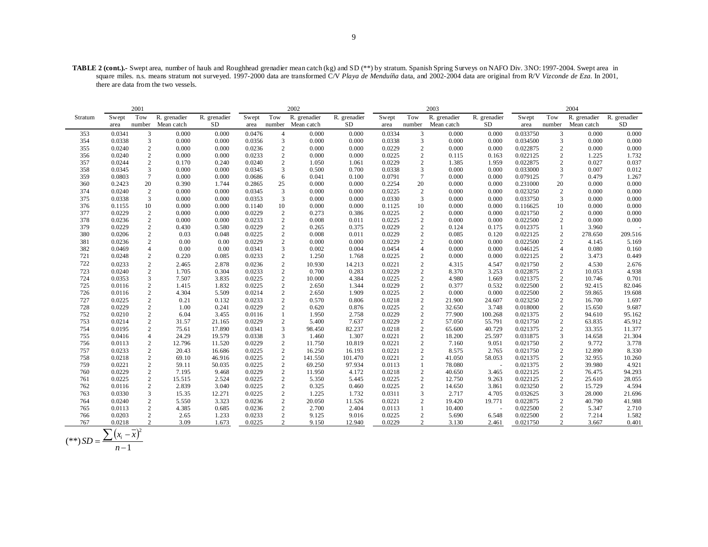**TABLE 2 (cont.).-** Swept area, number of hauls and Roughhead grenadier mean catch (kg) and SD (\*\*) by stratum. Spanish Spring Surveys on NAFO Div. 3NO: 1997-2004. Swept area in square miles. n.s. means stratum not surveyed. 1997-2000 data are transformed C/V *Playa de Menduíña* data, and 2002-2004 data are original from R/V *Vizconde de Eza*. In 2001, there are data from the two vessels.

|                                                                                                                                                                                                                                                                                      | 2004                |                 |                |  |
|--------------------------------------------------------------------------------------------------------------------------------------------------------------------------------------------------------------------------------------------------------------------------------------|---------------------|-----------------|----------------|--|
| R. grenadier<br>R. grenadier<br>Tow<br>R. grenadier<br>Tow<br>R. grenadier<br>Tow<br>R. grenadier<br>R. grenadier<br>Swept<br>Swept<br>Swept<br>Swept<br>Stratum                                                                                                                     | Tow                 | R. grenadier    | R. grenadier   |  |
| SD<br>SD<br>Mean catch<br><b>SD</b><br>number Mean catch<br>number<br>number<br>Mean catch<br>area<br>area<br>area<br>area                                                                                                                                                           | number              | Mean catch      | SD             |  |
| 0.0341<br>3<br>0.000<br>0.000<br>0.0476<br>0.000<br>0.000<br>0.0334<br>3<br>0.000<br>0.000<br>0.033750<br>353<br>$\overline{4}$                                                                                                                                                      | 3                   | 0.000           | 0.000          |  |
| 0.0338<br>0.000<br>0.0356<br>$\mathbf{3}$<br>0.000<br>0.0338<br>0.000<br>354<br>3<br>0.000<br>0.000<br>3<br>0.000<br>0.034500                                                                                                                                                        | 3                   | 0.000           | 0.000          |  |
| $\overline{c}$<br>0.0236<br>$\overline{2}$<br>0.0229<br>355<br>0.0240<br>0.000<br>0.000<br>0.000<br>0.000<br>2<br>0.000<br>0.000<br>0.022875                                                                                                                                         | $\overline{2}$      | 0.000           | 0.000          |  |
| 2<br>$\overline{2}$<br>356<br>0.0240<br>0.000<br>0.0233<br>0.000<br>0.0225<br>$\mathbf{2}$<br>0.163<br>0.022125<br>0.000<br>0.000<br>0.115                                                                                                                                           | $\overline{2}$      | 1.225           | 1.732          |  |
| 2<br>0.170<br>2<br>0.0229<br>357<br>0.0244<br>0.240<br>0.0240<br>1.050<br>1.061<br>2<br>1.385<br>1.959<br>0.022875                                                                                                                                                                   | 2                   | 0.027           | 0.037          |  |
| 3<br>3<br>0.000<br>0.0338<br>3<br>0.000<br>0.033000<br>358<br>0.0345<br>0.000<br>0.0345<br>0.500<br>0.700<br>0.000                                                                                                                                                                   | 3                   | 0.007           | 0.012          |  |
| $\tau$<br>6<br>$\overline{7}$<br>359<br>0.0803<br>0.000<br>0.000<br>0.0686<br>0.041<br>0.100<br>0.0791<br>0.000<br>0.000<br>0.079125                                                                                                                                                 | $\overline{7}$      | 0.479           | 1.267          |  |
| 20<br>20<br>360<br>0.390<br>0.2865<br>25<br>0.000<br>0.2254<br>0.000<br>0.231000<br>0.2423<br>1.744<br>0.000<br>0.000                                                                                                                                                                | 20                  | 0.000           | 0.000          |  |
| $\sqrt{2}$<br>3<br>$\sqrt{2}$<br>0.000<br>0.0225<br>0.000<br>0.000<br>374<br>0.0240<br>0.000<br>0.000<br>0.0345<br>0.000<br>0.023250                                                                                                                                                 | $\overline{2}$      | 0.000           | 0.000          |  |
| 3<br>$\mathbf{3}$<br>0.0330<br>3<br>375<br>0.0338<br>0.000<br>0.000<br>0.0353<br>0.000<br>0.000<br>0.000<br>0.000<br>0.033750                                                                                                                                                        | 3                   | 0.000           | 0.000          |  |
| 10<br>10<br>0.000<br>0.000<br>0.1125<br>10<br>0.000<br>376<br>0.1155<br>0.000<br>0.1140<br>0.000<br>0.000<br>0.116625                                                                                                                                                                | 10                  | 0.000           | 0.000          |  |
| $\overline{c}$<br>$\overline{2}$<br>$\overline{2}$<br>377<br>0.0229<br>0.000<br>0.000<br>0.0229<br>0.273<br>0.0225<br>0.000<br>0.000<br>0.021750<br>0.386                                                                                                                            | 2                   | 0.000           | 0.000          |  |
| 2<br>0.0233<br>2<br>0.008<br>0.0225<br>$\mathbf{2}$<br>0.022500<br>378<br>0.0236<br>0.000<br>0.000<br>0.011<br>0.000<br>0.000                                                                                                                                                        | 2                   | 0.000           | 0.000          |  |
| $\overline{c}$<br>0.0229<br>2<br>379<br>0.0229<br>0.430<br>0.580<br>0.265<br>0.375<br>0.0229<br>$\overline{c}$<br>0.124<br>0.175<br>0.012375                                                                                                                                         | 1                   | 3.960           |                |  |
| $\sqrt{2}$<br>$\overline{c}$<br>0.008<br>0.0229<br>$\sqrt{2}$<br>380<br>0.0206<br>0.03<br>0.048<br>0.0225<br>0.011<br>0.085<br>0.120<br>0.022125                                                                                                                                     | $\overline{2}$      | 278.650         | 209.516        |  |
| 2<br>$\overline{2}$<br>381<br>0.0236<br>0.00<br>0.00<br>0.0229<br>0.000<br>0.000<br>0.0229<br>2<br>0.000<br>0.000<br>0.022500                                                                                                                                                        | 2                   | 4.145           | 5.169          |  |
| 382<br>0.00<br>0.00<br>$\mathfrak{Z}$<br>0.0469<br>$\overline{4}$<br>0.0341<br>0.002<br>0.004<br>0.0454<br>0.000<br>0.000<br>0.046125<br>$\overline{4}$                                                                                                                              | $\overline{4}$      | 0.080           | 0.160          |  |
| 721<br>$\overline{c}$<br>0.0233<br>$\overline{c}$<br>1.250<br>0.0225<br>$\overline{c}$<br>0.0248<br>0.220<br>0.085<br>1.768<br>0.000<br>0.000<br>0.022125                                                                                                                            | $\mathbf{2}$        | 3.473           | 0.449          |  |
| 722<br>$\sqrt{2}$<br>2<br>$\overline{c}$<br>0.0233<br>2.465<br>2.878<br>0.0236<br>10.930<br>14.213<br>0.0221<br>4.315<br>4.547<br>0.021750                                                                                                                                           | $\overline{2}$      | 4.530           | 2.676          |  |
| $\overline{c}$<br>$\overline{c}$<br>$\sqrt{2}$<br>723<br>0.0240<br>1.705<br>0.304<br>0.0233<br>0.700<br>0.283<br>0.0229<br>8.370<br>3.253<br>0.022875                                                                                                                                | $\mathbf{2}$        | 10.053          | 4.938          |  |
| 3<br>0.0225<br>2<br>0.0225<br>$\mathbf{2}$<br>1.669<br>724<br>0.0353<br>7.507<br>3.835<br>10.000<br>4.384<br>4.980<br>0.021375                                                                                                                                                       | 2                   | 10.746          | 0.701          |  |
| $\overline{c}$<br>$\overline{2}$<br>1.832<br>0.0225<br>1.344<br>0.0229<br>$\mathbf{2}$<br>0.377<br>0.532<br>0.022500<br>725<br>0.0116<br>1.415<br>2.650                                                                                                                              | $\mathbf{2}$        | 92.415          | 82.046         |  |
| $\sqrt{2}$<br>4.304<br>0.0214<br>$\overline{2}$<br>0.022500<br>726<br>0.0116<br>5.509<br>2.650<br>1.909<br>0.0225<br>2<br>0.000<br>0.000                                                                                                                                             | 2                   | 59.865          | 19.608         |  |
| $\overline{c}$<br>2<br>727<br>0.0225<br>0.21<br>0.132<br>0.0233<br>0.570<br>0.806<br>0.0218<br>2<br>21.900<br>0.023250<br>24.607                                                                                                                                                     | 2                   | 16.700          | 1.697          |  |
| $\overline{c}$<br>$\overline{c}$<br>$\sqrt{2}$<br>728<br>0.0229<br>1.00<br>0.241<br>0.0229<br>0.620<br>0.876<br>0.0225<br>32.650<br>3.748<br>0.018000                                                                                                                                | $\sqrt{2}$          | 15.650          | 9.687          |  |
| $\overline{c}$<br>6.04<br>0.0229<br>$\sqrt{2}$<br>100.268<br>0.021375<br>752<br>0.0210<br>3.455<br>0.0116<br>$\mathbf{1}$<br>1.950<br>2.758<br>77.900                                                                                                                                | $\mathbf{2}$        | 94.610          | 95.162         |  |
| 753<br>2<br>$\overline{2}$<br>0.0229<br>$\overline{2}$<br>0.0214<br>31.57<br>21.165<br>0.0229<br>5.400<br>7.637<br>57.050<br>55.791<br>0.021750                                                                                                                                      | 2                   | 63.835          | 45.912         |  |
| 2<br>3<br>0.0218<br>$\mathbf{2}$<br>754<br>0.0195<br>75.61<br>17.890<br>0.0341<br>98.450<br>82.237<br>65.600<br>40.729<br>0.021375                                                                                                                                                   | 2                   | 33.355          | 11.377         |  |
| 3<br>755<br>$\overline{4}$<br>24.29<br>19.579<br>0.0338<br>1.307<br>0.0221<br>$\mathbf{2}$<br>18.200<br>25.597<br>0.031875<br>0.0416<br>1.460<br>9.051                                                                                                                               | 3                   | 14.658<br>9.772 | 21.304         |  |
| $\overline{c}$<br>2<br>0.0113<br>12.796<br>11.520<br>0.0229<br>10.819<br>0.0221<br>2<br>7.160<br>0.021750<br>756<br>11.750<br>$\sqrt{2}$<br>0.0225<br>$\overline{2}$<br>0.0221<br>$\mathbf{2}$<br>757<br>0.0233<br>20.43<br>16.686<br>16.250<br>16.193<br>8.575<br>2.765<br>0.021750 | $\overline{2}$<br>2 | 12.890          | 3.778<br>8.330 |  |
| 2<br>$\overline{2}$<br>758<br>0.0218<br>69.10<br>46.916<br>0.0225<br>141.550<br>101.470<br>0.0221<br>2<br>41.050<br>58.053<br>0.021375                                                                                                                                               | 2                   | 32.955          | 10.260         |  |
| 759<br>0.0221<br>$\overline{c}$<br>59.11<br>0.0225<br>2<br>69.250<br>50.035<br>97.934<br>0.0113<br>-1<br>78.080<br>0.021375<br>$\sim$                                                                                                                                                | 2                   | 39.980          | 4.921          |  |
| 2<br>$\overline{2}$<br>0.0229<br>7.195<br>0.0229<br>4.172<br>0.0218<br>$\mathbf{2}$<br>0.022125<br>760<br>9.468<br>11.950<br>40.650<br>3.465                                                                                                                                         | $\mathbf{2}$        | 76.475          | 94.293         |  |
| $\overline{c}$<br>$\overline{2}$<br>$\mathbf{2}$<br>0.022125<br>0.0225<br>15.515<br>2.524<br>0.0225<br>5.350<br>5.445<br>0.0225<br>12.750<br>9.263<br>761                                                                                                                            | 2                   | 25.610          | 28.055         |  |
| 2<br>762<br>0.0116<br>$\overline{c}$<br>2.839<br>3.040<br>0.0225<br>0.325<br>0.460<br>0.0225<br>2<br>3.861<br>0.023250<br>14.650                                                                                                                                                     | 2                   | 15.729          | 4.594          |  |
| 3<br>$\overline{c}$<br>0.0330<br>15.35<br>12.271<br>0.0225<br>1.225<br>1.732<br>0.0311<br>3<br>2.717<br>0.032625<br>763<br>4.705                                                                                                                                                     | 3                   | 28.000          | 21.696         |  |
| 2<br>$\overline{2}$<br>3.323<br>0.0236<br>0.0221<br>$\overline{2}$<br>19.771<br>0.022875<br>764<br>0.0240<br>5.550<br>20.050<br>11.526<br>19.420                                                                                                                                     | 2                   | 40.790          | 41.988         |  |
| $\overline{c}$<br>2<br>0.0113<br>0.0236<br>2.700<br>0.022500<br>765<br>4.385<br>0.685<br>2.404<br>0.0113<br>-1<br>10.400<br>$\sim$                                                                                                                                                   | 2                   | 5.347           | 2.710          |  |
| $\overline{c}$<br>0.0233<br>$\overline{c}$<br>0.0225<br>$\boldsymbol{2}$<br>0.022500<br>766<br>0.0203<br>2.65<br>1.233<br>9.125<br>9.016<br>5.690<br>6.548                                                                                                                           | $\overline{2}$      | 7.214           | 1.582          |  |
| $\overline{2}$<br>0.0225<br>$\overline{2}$<br>$\overline{2}$<br>767<br>0.0218<br>3.09<br>1.673<br>9.150<br>12.940<br>0.0229<br>3.130<br>2.461<br>0.021750                                                                                                                            | 2                   | 3.667           | 0.401          |  |

$$
(**) SD = \frac{\sum (x_i - \bar{x})^2}{n - 1}
$$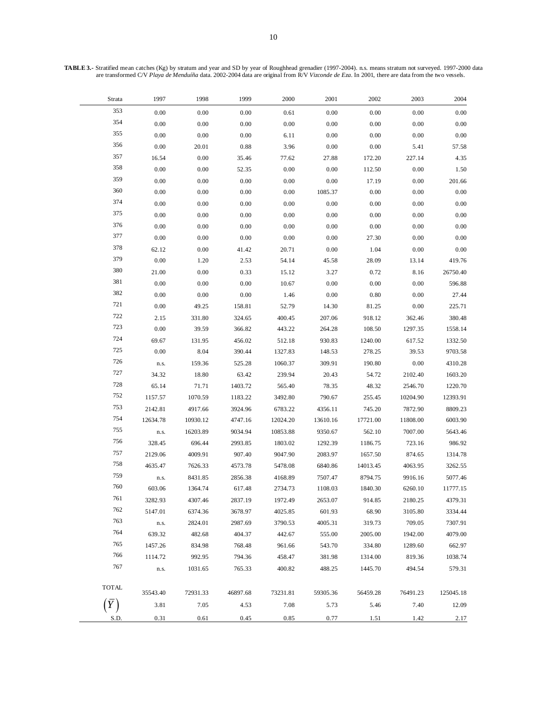**TABLE 3.-** Stratified mean catches (Kg) by stratum and year and SD by year of Roughhead grenadier (1997-2004). n.s. means stratum not surveyed. 1997-2000 data are transformed C/V *Playa de Menduíña* data. 2002-2004 data are original from R/V *Vizconde de Eza*. In 2001, there are data from the two vessels.

| 353<br>0.00<br>$0.00\,$<br>0.00<br>0.00<br>0.00<br>0.00<br>0.61                                  | 0.00      |
|--------------------------------------------------------------------------------------------------|-----------|
|                                                                                                  |           |
| 354<br>0.00<br>0.00<br>0.00<br>0.00<br>0.00<br>0.00<br>0.00                                      | 0.00      |
| 355<br>0.00<br>0.00<br>0.00<br>0.00<br>0.00<br>0.00<br>6.11                                      | 0.00      |
| 356<br>0.00<br>20.01<br>0.88<br>3.96<br>0.00<br>0.00<br>5.41                                     | 57.58     |
| 357<br>16.54<br>0.00<br>35.46<br>77.62<br>27.88<br>172.20<br>227.14                              | 4.35      |
| 358<br>0.00<br>0.00<br>52.35<br>0.00<br>0.00<br>112.50<br>0.00                                   | 1.50      |
| 359<br>0.00<br>0.00<br>0.00<br>0.00<br>0.00<br>17.19<br>0.00                                     | 201.66    |
| 360<br>0.00<br>0.00<br>0.00<br>0.00<br>1085.37<br>0.00<br>0.00                                   | 0.00      |
| 374<br>0.00<br>0.00<br>$0.00\,$<br>$0.00\,$<br>$0.00\,$<br>0.00<br>0.00                          | 0.00      |
| 375<br>0.00<br>0.00<br>0.00<br>0.00<br>0.00<br>0.00<br>0.00                                      | $0.00\,$  |
| 376<br>0.00<br>0.00<br>$0.00\,$<br>0.00<br>0.00<br>0.00<br>0.00                                  | 0.00      |
| 377<br>0.00<br>0.00<br>0.00<br>0.00<br>0.00<br>27.30<br>0.00                                     | 0.00      |
| 378<br>$0.00\,$<br>62.12<br>0.00<br>41.42<br>20.71<br>1.04<br>0.00                               | 0.00      |
| 379<br>$0.00\,$<br>1.20<br>2.53<br>54.14<br>45.58<br>28.09<br>13.14                              | 419.76    |
| 380<br>21.00<br>0.00<br>0.33<br>15.12<br>3.27<br>0.72<br>8.16                                    | 26750.40  |
| 381<br>0.00<br>0.00<br>0.00<br>10.67<br>0.00<br>0.00<br>0.00                                     | 596.88    |
| 382<br>0.00<br>0.00<br>0.00<br>1.46<br>0.00<br>0.80<br>0.00                                      | 27.44     |
| 721<br>0.00<br>49.25<br>52.79<br>14.30<br>81.25<br>0.00<br>158.81                                | 225.71    |
| 722<br>918.12<br>2.15<br>331.80<br>324.65<br>400.45<br>207.06<br>362.46                          | 380.48    |
| 723<br>0.00<br>39.59<br>108.50<br>366.82<br>443.22<br>264.28<br>1297.35                          | 1558.14   |
| 724<br>69.67<br>131.95<br>456.02<br>930.83<br>1240.00<br>512.18<br>617.52                        | 1332.50   |
| $725\,$<br>0.00<br>8.04<br>390.44<br>1327.83<br>148.53<br>278.25<br>39.53                        | 9703.58   |
| 726<br>159.36<br>525.28<br>309.91<br>190.80<br>0.00<br>1060.37<br>n.s.                           | 4310.28   |
| 727<br>34.32<br>18.80<br>63.42<br>239.94<br>20.43<br>54.72<br>2102.40                            | 1603.20   |
| 728<br>65.14<br>71.71<br>1403.72<br>565.40<br>78.35<br>48.32<br>2546.70                          | 1220.70   |
| 752<br>1070.59<br>790.67<br>255.45<br>1157.57<br>1183.22<br>3492.80<br>10204.90                  | 12393.91  |
| 753<br>2142.81<br>4917.66<br>3924.96<br>6783.22<br>4356.11<br>745.20<br>7872.90                  | 8809.23   |
| 754<br>12634.78<br>17721.00<br>11808.00<br>10930.12<br>4747.16<br>12024.20<br>13610.16           | 6003.90   |
| 755<br>16203.89<br>10853.88<br>9350.67<br>562.10<br>7007.00<br>9034.94<br>n.s.                   | 5643.46   |
| 756<br>328.45<br>696.44<br>2993.85<br>1803.02<br>1186.75<br>723.16<br>1292.39                    | 986.92    |
| 757<br>2129.06<br>4009.91<br>9047.90<br>2083.97<br>907.40<br>1657.50<br>874.65                   | 1314.78   |
| 758<br>4635.47<br>7626.33<br>4573.78<br>5478.08<br>6840.86<br>14013.45<br>4063.95                | 3262.55   |
| 759<br>8431.85<br>2856.38<br>4168.89<br>7507.47<br>8794.75<br>9916.16<br>n.s.                    | 5077.46   |
| 760<br>603.06<br>1840.30<br>1364.74<br>617.48<br>2734.73<br>1108.03<br>6260.10                   | 11777.15  |
| 761<br>3282.93<br>1972.49<br>2653.07<br>914.85<br>2180.25<br>4307.46<br>2837.19                  | 4379.31   |
| 762<br>5147.01<br>3678.97<br>601.93<br>68.90<br>3105.80<br>6374.36<br>4025.85                    | 3334.44   |
| 763<br>2824.01<br>2987.69<br>3790.53<br>4005.31<br>319.73<br>709.05<br>n.s.                      | 7307.91   |
| 764<br>639.32<br>482.68<br>404.37<br>442.67<br>555.00<br>2005.00<br>1942.00                      | 4079.00   |
| 765<br>1457.26<br>768.48<br>961.66<br>543.70<br>334.80<br>1289.60<br>834.98                      | 662.97    |
| 766<br>1114.72<br>992.95<br>794.36<br>458.47<br>381.98<br>819.36<br>1314.00                      | 1038.74   |
| 767<br>494.54<br>1031.65<br>765.33<br>400.82<br>488.25<br>1445.70<br>n.s.                        | 579.31    |
|                                                                                                  |           |
| <b>TOTAL</b><br>35543.40<br>72931.33<br>46897.68<br>73231.81<br>59305.36<br>56459.28<br>76491.23 | 125045.18 |
| 3.81<br>7.05<br>7.08<br>4.53<br>5.73<br>5.46<br>7.40                                             | 12.09     |
| S.D.<br>0.31<br>0.61<br>0.45<br>0.85<br>0.77<br>1.42<br>1.51                                     | 2.17      |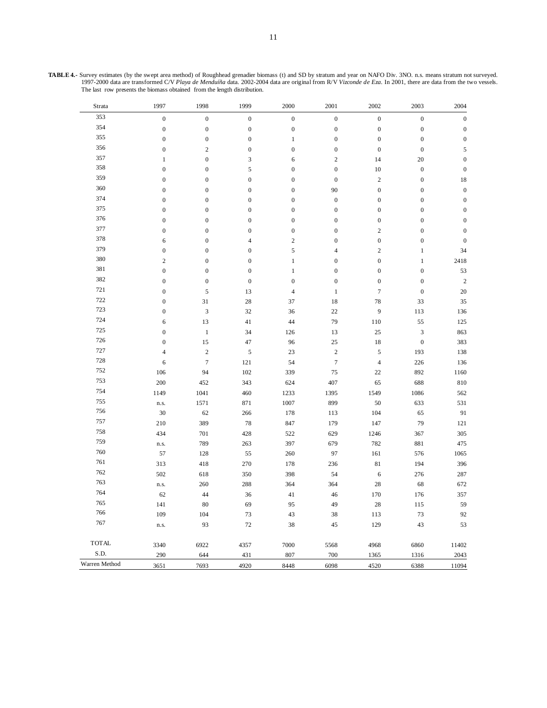| Strata        | 1997             | 1998             | 1999             | $2000\,$         | 2001             | 2002             | 2003             | 2004             |
|---------------|------------------|------------------|------------------|------------------|------------------|------------------|------------------|------------------|
| 353           | $\boldsymbol{0}$ | $\boldsymbol{0}$ | $\boldsymbol{0}$ | $\boldsymbol{0}$ | $\boldsymbol{0}$ | $\boldsymbol{0}$ | $\boldsymbol{0}$ | $\boldsymbol{0}$ |
| 354           | $\boldsymbol{0}$ | $\boldsymbol{0}$ | $\boldsymbol{0}$ | $\boldsymbol{0}$ | $\boldsymbol{0}$ | $\boldsymbol{0}$ | $\boldsymbol{0}$ | $\boldsymbol{0}$ |
| 355           | $\mathbf{0}$     | $\boldsymbol{0}$ | $\boldsymbol{0}$ | $\mathbf{1}$     | $\boldsymbol{0}$ | $\boldsymbol{0}$ | $\boldsymbol{0}$ | $\boldsymbol{0}$ |
| 356           | $\mathbf{0}$     | $\boldsymbol{2}$ | $\boldsymbol{0}$ | $\boldsymbol{0}$ | $\boldsymbol{0}$ | $\boldsymbol{0}$ | $\boldsymbol{0}$ | 5                |
| 357           | $\mathbf{1}$     | $\boldsymbol{0}$ | 3                | 6                | $\boldsymbol{2}$ | 14               | 20               | $\boldsymbol{0}$ |
| 358           | $\boldsymbol{0}$ | $\boldsymbol{0}$ | 5                | $\boldsymbol{0}$ | $\boldsymbol{0}$ | 10               | $\boldsymbol{0}$ | $\boldsymbol{0}$ |
| 359           | $\boldsymbol{0}$ | $\boldsymbol{0}$ | $\boldsymbol{0}$ | $\boldsymbol{0}$ | $\boldsymbol{0}$ | $\sqrt{2}$       | $\boldsymbol{0}$ | 18               |
| 360           | $\boldsymbol{0}$ | $\boldsymbol{0}$ | $\boldsymbol{0}$ | $\boldsymbol{0}$ | 90               | $\boldsymbol{0}$ | $\boldsymbol{0}$ | $\boldsymbol{0}$ |
| 374           | $\mathbf{0}$     | $\boldsymbol{0}$ | $\boldsymbol{0}$ | $\boldsymbol{0}$ | $\boldsymbol{0}$ | $\boldsymbol{0}$ | $\boldsymbol{0}$ | $\boldsymbol{0}$ |
| 375           | $\mathbf{0}$     | $\boldsymbol{0}$ | $\boldsymbol{0}$ | $\boldsymbol{0}$ | $\boldsymbol{0}$ | $\boldsymbol{0}$ | $\boldsymbol{0}$ | $\boldsymbol{0}$ |
| 376           | $\mathbf{0}$     | $\boldsymbol{0}$ | $\boldsymbol{0}$ | $\boldsymbol{0}$ | $\boldsymbol{0}$ | $\boldsymbol{0}$ | $\boldsymbol{0}$ | $\boldsymbol{0}$ |
| 377           | $\boldsymbol{0}$ | $\boldsymbol{0}$ | $\boldsymbol{0}$ | $\boldsymbol{0}$ | $\boldsymbol{0}$ | $\sqrt{2}$       | $\boldsymbol{0}$ | $\boldsymbol{0}$ |
| 378           | 6                | $\boldsymbol{0}$ | $\overline{4}$   | $\overline{c}$   | $\boldsymbol{0}$ | $\boldsymbol{0}$ | $\boldsymbol{0}$ | $\boldsymbol{0}$ |
| 379           | $\boldsymbol{0}$ | $\boldsymbol{0}$ | $\boldsymbol{0}$ | 5                | 4                | $\boldsymbol{2}$ | $\mathbf{1}$     | 34               |
| 380           | $\overline{c}$   | $\boldsymbol{0}$ | $\boldsymbol{0}$ | $\mathbf{1}$     | $\boldsymbol{0}$ | $\boldsymbol{0}$ | $\mathbf{1}$     | 2418             |
| 381           | $\boldsymbol{0}$ | $\boldsymbol{0}$ | $\boldsymbol{0}$ | $\mathbf{1}$     | $\boldsymbol{0}$ | $\boldsymbol{0}$ | $\boldsymbol{0}$ | 53               |
| 382           | $\mathbf{0}$     | $\boldsymbol{0}$ | $\boldsymbol{0}$ | $\boldsymbol{0}$ | $\boldsymbol{0}$ | $\boldsymbol{0}$ | $\boldsymbol{0}$ | $\sqrt{2}$       |
| 721           | $\mathbf{0}$     | 5                | 13               | $\overline{4}$   | $\mathbf{1}$     | $\boldsymbol{7}$ | $\boldsymbol{0}$ | 20               |
| 722           | $\mathbf{0}$     | 31               | $28\,$           | 37               | 18               | 78               | 33               | 35               |
| 723           | $\boldsymbol{0}$ | $\mathfrak{Z}$   | 32               | 36               | 22               | 9                | 113              | 136              |
| 724           | 6                | 13               | 41               | 44               | 79               | 110              | 55               | 125              |
| 725           | $\mathbf{0}$     | $\mathbf{1}$     | 34               | 126              | 13               | 25               | $\mathfrak{Z}$   | 863              |
| 726           | $\boldsymbol{0}$ | 15               | 47               | 96               | 25               | 18               | $\boldsymbol{0}$ | 383              |
| 727           | $\overline{4}$   | $\sqrt{2}$       | $\sqrt{5}$       | 23               | $\sqrt{2}$       | $\sqrt{5}$       | 193              | 138              |
| 728           | 6                | $\tau$           | 121              | 54               | $\overline{7}$   | $\overline{4}$   | 226              | 136              |
| 752           | 106              | 94               | 102              | 339              | 75               | $22\,$           | 892              | 1160             |
| 753           | 200              | 452              | 343              | 624              | 407              | 65               | 688              | 810              |
| 754           | 1149             | 1041             | 460              | 1233             | 1395             | 1549             | 1086             | 562              |
| 755           | n.s.             | 1571             | 871              | 1007             | 899              | 50               | 633              | 531              |
| 756           | 30               | 62               | 266              | 178              | 113              | 104              | 65               | 91               |
| 757           | 210              | 389              | 78               | 847              | 179              | 147              | 79               | 121              |
| 758           | 434              | 701              | 428              | 522              | 629              | 1246             | 367              | 305              |
| 759           | n.s.             | 789              | 263              | 397              | 679              | 782              | 881              | 475              |
| 760           | 57               | 128              | 55               | 260              | 97               | 161              | 576              | 1065             |
| 761           | 313              | 418              | 270              | 178              | 236              | 81               | 194              | 396              |
| 762           | 502              | 618              | 350              | 398              | 54               | 6                | 276              | 287              |
| 763           | n.s.             | 260              | 288              | 364              | 364              | 28               | 68               | 672              |
| 764           | 62               | $44\,$           | $36\,$           | 41               | 46               | 170              | 176              | 357              |
| 765           | 141              | 80               | 69               | 95               | 49               | 28               | 115              | 59               |
| 766           | 109              | 104              | 73               | 43               | $38\,$           | 113              | 73               | 92               |
| 767           | n.s.             | 93               | 72               | 38               | 45               | 129              | 43               | 53               |
| <b>TOTAL</b>  | 3340             | 6922             | 4357             | 7000             | 5568             | 4968             | 6860             | 11402            |
| S.D.          | 290              | 644              | 431              | 807              | 700              | 1365             | 1316             | 2043             |
| Warren Method | 3651             | 7693             | 4920             | 8448             | 6098             | 4520             | 6388             | 11094            |

**TABLE 4.-** Survey estimates (by the swept area method) of Roughhead grenadier biomass (t) and SD by stratum and year on NAFO Div. 3NO. n.s. means stratum not surveyed. 1997-2000 data are transformed C/V *Playa de Menduíña* data. 2002-2004 data are original from R/V *Vizconde de Eza*. In 2001, there are data from the two vessels. The last row presents the biomass obtained from the length distribution.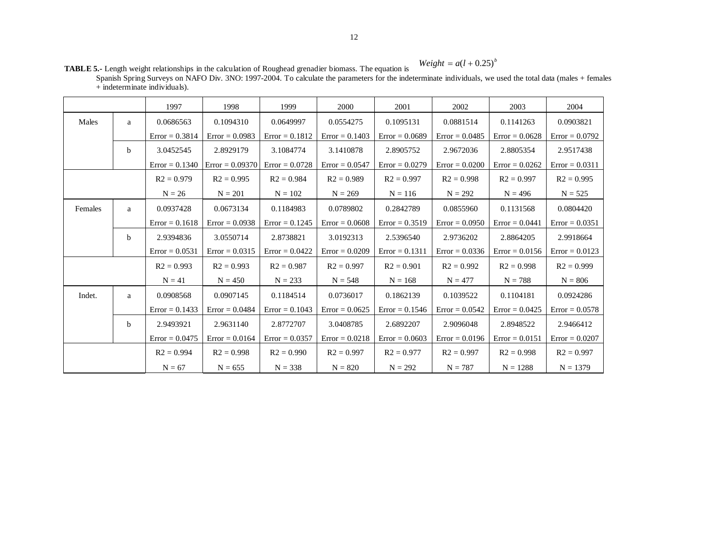## $Weight = a(l + 0.25)^{b}$

**TABLE 5.-** Length weight relationships in the calculation of Roughead grenadier biomass. The equation is Spanish Spring Surveys on NAFO Div. 3NO: 1997-2004. To calculate the parameters for the indeterminate individuals, we used the total data (males + females

|         |              | 1997                                 | 1998              | 1999             | 2000             | 2001                         | 2002             | 2003             | 2004             |  |
|---------|--------------|--------------------------------------|-------------------|------------------|------------------|------------------------------|------------------|------------------|------------------|--|
| Males   | a            | 0.0686563                            | 0.1094310         | 0.0649997        | 0.0554275        | 0.1095131                    | 0.0881514        | 0.1141263        | 0.0903821        |  |
|         |              | $Error = 0.3814$                     | $Error = 0.0983$  | $Error = 0.1812$ | $Error = 0.1403$ | $Error = 0.0689$             | $Error = 0.0485$ | $Error = 0.0628$ | $Error = 0.0792$ |  |
|         | <sub>b</sub> | 3.0452545                            | 2.8929179         | 3.1084774        | 3.1410878        | 2.8905752                    | 2.9672036        | 2.8805354        | 2.9517438        |  |
|         |              | $Error = 0.1340$                     | $Error = 0.09370$ | $Error = 0.0728$ | $Error = 0.0547$ | $Error = 0.0279$             | $Error = 0.0200$ | $Error = 0.0262$ | $Error = 0.0311$ |  |
|         |              | $R2 = 0.979$                         | $R2 = 0.995$      | $R2 = 0.984$     | $R2 = 0.989$     | $R2 = 0.997$                 | $R2 = 0.998$     | $R2 = 0.997$     | $R2 = 0.995$     |  |
|         |              | $N = 26$                             | $N = 201$         | $N = 102$        | $N = 269$        | $N = 116$                    | $N = 292$        | $N = 496$        | $N = 525$        |  |
| Females | a            | 0.0937428                            | 0.0673134         | 0.1184983        | 0.0789802        | 0.2842789                    | 0.0855960        | 0.1131568        | 0.0804420        |  |
|         |              | $Error = 0.0938$<br>$Error = 0.1618$ |                   | $Error = 0.1245$ | $Error = 0.0608$ | $Error = 0.3519$             | $Error = 0.0950$ | $Error = 0.0441$ | $Error = 0.0351$ |  |
|         | b            | 2.9394836                            | 3.0550714         | 2.8738821        | 3.0192313        | 2.5396540                    | 2.9736202        | 2.8864205        | 2.9918664        |  |
|         |              | $Error = 0.0531$                     | $Error = 0.0315$  | $Error = 0.0422$ | $Error = 0.0209$ | $Error = 0.1311$             | $Error = 0.0336$ | $Error = 0.0156$ | $Error = 0.0123$ |  |
|         |              | $R2 = 0.993$                         | $R2 = 0.993$      | $R2 = 0.987$     | $R2 = 0.997$     | $R2 = 0.901$<br>$R2 = 0.992$ |                  | $R2 = 0.998$     | $R2 = 0.999$     |  |
|         |              | $N = 41$                             | $N = 450$         | $N = 233$        | $N = 548$        | $N = 168$                    | $N = 477$        | $N = 788$        | $N = 806$        |  |
| Indet.  | a            | 0.0908568                            | 0.0907145         | 0.1184514        | 0.0736017        | 0.1862139                    | 0.1039522        | 0.1104181        | 0.0924286        |  |
|         |              | $Error = 0.1433$                     | $Error = 0.0484$  | $Error = 0.1043$ | $Error = 0.0625$ | $Error = 0.1546$             | $Error = 0.0542$ | $Error = 0.0425$ | $Error = 0.0578$ |  |
|         | <sub>b</sub> | 2.9493921                            | 2.9631140         | 2.8772707        | 3.0408785        | 2.6892207                    | 2.9096048        | 2.8948522        | 2.9466412        |  |
|         |              | $Error = 0.0475$                     | $Error = 0.0164$  | $Error = 0.0357$ | $Error = 0.0218$ | $Error = 0.0603$             | $Error = 0.0196$ | $Error = 0.0151$ | $Error = 0.0207$ |  |
|         |              | $R2 = 0.994$                         | $R2 = 0.998$      | $R2 = 0.990$     | $R2 = 0.997$     | $R2 = 0.977$                 | $R2 = 0.997$     | $R2 = 0.998$     | $R2 = 0.997$     |  |
|         |              | $N = 67$                             | $N = 655$         | $N = 338$        | $N = 820$        | $N = 292$                    | $N = 787$        | $N = 1288$       | $N = 1379$       |  |

+ indeterminate individuals).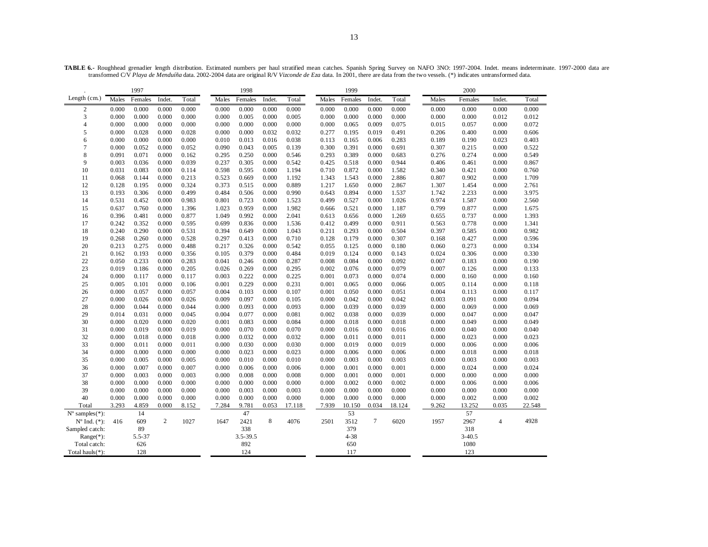**TABLE 6.-** Roughhead grenadier length distribution. Estimated numbers per haul stratified mean catches. Spanish Spring Survey on NAFO 3NO: 1997-2004. Indet. means indeterminate. 1997-2000 data are transformed C/V *Playa de Menduíña* data. 2002-2004 data are original R/V *Vizconde de Eza* data. In 2001, there are data from the two vessels. (\*) indicates untransformed data.

|                             | 1997  |         |        | 1998  |       |          |       | 1999   |       |          |        | 2000   |       |            |                |        |
|-----------------------------|-------|---------|--------|-------|-------|----------|-------|--------|-------|----------|--------|--------|-------|------------|----------------|--------|
| Length $(cm.)$              | Males | Females | Indet. | Total | Males | Females  | Indet | Total  | Males | Females  | Indet. | Total  | Males | Females    | Indet.         | Total  |
| 2                           | 0.000 | 0.000   | 0.000  | 0.000 | 0.000 | 0.000    | 0.000 | 0.000  | 0.000 | 0.000    | 0.000  | 0.000  | 0.000 | 0.000      | 0.000          | 0.000  |
| 3                           | 0.000 | 0.000   | 0.000  | 0.000 | 0.000 | 0.005    | 0.000 | 0.005  | 0.000 | 0.000    | 0.000  | 0.000  | 0.000 | 0.000      | 0.012          | 0.012  |
| 4                           | 0.000 | 0.000   | 0.000  | 0.000 | 0.000 | 0.000    | 0.000 | 0.000  | 0.000 | 0.065    | 0.009  | 0.075  | 0.015 | 0.057      | 0.000          | 0.072  |
| 5                           | 0.000 | 0.028   | 0.000  | 0.028 | 0.000 | 0.000    | 0.032 | 0.032  | 0.277 | 0.195    | 0.019  | 0.491  | 0.206 | 0.400      | 0.000          | 0.606  |
| 6                           | 0.000 | 0.000   | 0.000  | 0.000 | 0.010 | 0.013    | 0.016 | 0.038  | 0.113 | 0.165    | 0.006  | 0.283  | 0.189 | 0.190      | 0.023          | 0.403  |
| 7                           | 0.000 | 0.052   | 0.000  | 0.052 | 0.090 | 0.043    | 0.005 | 0.139  | 0.300 | 0.391    | 0.000  | 0.691  | 0.307 | 0.215      | 0.000          | 0.522  |
| 8                           | 0.091 | 0.071   | 0.000  | 0.162 | 0.295 | 0.250    | 0.000 | 0.546  | 0.293 | 0.389    | 0.000  | 0.683  | 0.276 | 0.274      | 0.000          | 0.549  |
| 9                           | 0.003 | 0.036   | 0.000  | 0.039 | 0.237 | 0.305    | 0.000 | 0.542  | 0.425 | 0.518    | 0.000  | 0.944  | 0.406 | 0.461      | 0.000          | 0.867  |
| 10                          | 0.031 | 0.083   | 0.000  | 0.114 | 0.598 | 0.595    | 0.000 | 1.194  | 0.710 | 0.872    | 0.000  | 1.582  | 0.340 | 0.421      | 0.000          | 0.760  |
| 11                          | 0.068 | 0.144   | 0.000  | 0.213 | 0.523 | 0.669    | 0.000 | 1.192  | 1.343 | 1.543    | 0.000  | 2.886  | 0.807 | 0.902      | 0.000          | 1.709  |
| 12                          | 0.128 | 0.195   | 0.000  | 0.324 | 0.373 | 0.515    | 0.000 | 0.889  | 1.217 | 1.650    | 0.000  | 2.867  | 1.307 | 1.454      | 0.000          | 2.761  |
| 13                          | 0.193 | 0.306   | 0.000  | 0.499 | 0.484 | 0.506    | 0.000 | 0.990  | 0.643 | 0.894    | 0.000  | 1.537  | 1.742 | 2.233      | 0.000          | 3.975  |
| 14                          | 0.531 | 0.452   | 0.000  | 0.983 | 0.801 | 0.723    | 0.000 | 1.523  | 0.499 | 0.527    | 0.000  | 1.026  | 0.974 | 1.587      | 0.000          | 2.560  |
| 15                          | 0.637 | 0.760   | 0.000  | 1.396 | 1.023 | 0.959    | 0.000 | 1.982  | 0.666 | 0.521    | 0.000  | 1.187  | 0.799 | 0.877      | 0.000          | 1.675  |
| 16                          | 0.396 | 0.481   | 0.000  | 0.877 | 1.049 | 0.992    | 0.000 | 2.041  | 0.613 | 0.656    | 0.000  | 1.269  | 0.655 | 0.737      | 0.000          | 1.393  |
| 17                          | 0.242 | 0.352   | 0.000  | 0.595 | 0.699 | 0.836    | 0.000 | 1.536  | 0.412 | 0.499    | 0.000  | 0.911  | 0.563 | 0.778      | 0.000          | 1.341  |
| 18                          | 0.240 | 0.290   | 0.000  | 0.531 | 0.394 | 0.649    | 0.000 | 1.043  | 0.211 | 0.293    | 0.000  | 0.504  | 0.397 | 0.585      | 0.000          | 0.982  |
| 19                          | 0.268 | 0.260   | 0.000  | 0.528 | 0.297 | 0.413    | 0.000 | 0.710  | 0.128 | 0.179    | 0.000  | 0.307  | 0.168 | 0.427      | 0.000          | 0.596  |
| 20                          | 0.213 | 0.275   | 0.000  | 0.488 | 0.217 | 0.326    | 0.000 | 0.542  | 0.055 | 0.125    | 0.000  | 0.180  | 0.060 | 0.273      | 0.000          | 0.334  |
| 21                          | 0.162 | 0.193   | 0.000  | 0.356 | 0.105 | 0.379    | 0.000 | 0.484  | 0.019 | 0.124    | 0.000  | 0.143  | 0.024 | 0.306      | 0.000          | 0.330  |
| 22                          | 0.050 | 0.233   | 0.000  | 0.283 | 0.041 | 0.246    | 0.000 | 0.287  | 0.008 | 0.084    | 0.000  | 0.092  | 0.007 | 0.183      | 0.000          | 0.190  |
| 23                          | 0.019 | 0.186   | 0.000  | 0.205 | 0.026 | 0.269    | 0.000 | 0.295  | 0.002 | 0.076    | 0.000  | 0.079  | 0.007 | 0.126      | 0.000          | 0.133  |
| 24                          | 0.000 | 0.117   | 0.000  | 0.117 | 0.003 | 0.222    | 0.000 | 0.225  | 0.001 | 0.073    | 0.000  | 0.074  | 0.000 | 0.160      | 0.000          | 0.160  |
| 25                          | 0.005 | 0.101   | 0.000  | 0.106 | 0.001 | 0.229    | 0.000 | 0.231  | 0.001 | 0.065    | 0.000  | 0.066  | 0.005 | 0.114      | 0.000          | 0.118  |
| 26                          | 0.000 | 0.057   | 0.000  | 0.057 | 0.004 | 0.103    | 0.000 | 0.107  | 0.001 | 0.050    | 0.000  | 0.051  | 0.004 | 0.113      | 0.000          | 0.117  |
| 27                          | 0.000 | 0.026   | 0.000  | 0.026 | 0.009 | 0.097    | 0.000 | 0.105  | 0.000 | 0.042    | 0.000  | 0.042  | 0.003 | 0.091      | 0.000          | 0.094  |
| 28                          | 0.000 | 0.044   | 0.000  | 0.044 | 0.000 | 0.093    | 0.000 | 0.093  | 0.000 | 0.039    | 0.000  | 0.039  | 0.000 | 0.069      | 0.000          | 0.069  |
| 29                          | 0.014 | 0.031   | 0.000  | 0.045 | 0.004 | 0.077    | 0.000 | 0.081  | 0.002 | 0.038    | 0.000  | 0.039  | 0.000 | 0.047      | 0.000          | 0.047  |
| 30                          | 0.000 | 0.020   | 0.000  | 0.020 | 0.001 | 0.083    | 0.000 | 0.084  | 0.000 | 0.018    | 0.000  | 0.018  | 0.000 | 0.049      | 0.000          | 0.049  |
| 31                          | 0.000 | 0.019   | 0.000  | 0.019 | 0.000 | 0.070    | 0.000 | 0.070  | 0.000 | 0.016    | 0.000  | 0.016  | 0.000 | 0.040      | 0.000          | 0.040  |
| 32                          | 0.000 | 0.018   | 0.000  | 0.018 | 0.000 | 0.032    | 0.000 | 0.032  | 0.000 | 0.011    | 0.000  | 0.011  | 0.000 | 0.023      | 0.000          | 0.023  |
| 33                          | 0.000 | 0.011   | 0.000  | 0.011 | 0.000 | 0.030    | 0.000 | 0.030  | 0.000 | 0.019    | 0.000  | 0.019  | 0.000 | 0.006      | 0.000          | 0.006  |
| 34                          | 0.000 | 0.000   | 0.000  | 0.000 | 0.000 | 0.023    | 0.000 | 0.023  | 0.000 | 0.006    | 0.000  | 0.006  | 0.000 | 0.018      | 0.000          | 0.018  |
| 35                          | 0.000 | 0.005   | 0.000  | 0.005 | 0.000 | 0.010    | 0.000 | 0.010  | 0.000 | 0.003    | 0.000  | 0.003  | 0.000 | 0.003      | 0.000          | 0.003  |
| 36                          | 0.000 | 0.007   | 0.000  | 0.007 | 0.000 | 0.006    | 0.000 | 0.006  | 0.000 | 0.001    | 0.000  | 0.001  | 0.000 | 0.024      | 0.000          | 0.024  |
| 37                          | 0.000 | 0.003   | 0.000  | 0.003 | 0.000 | 0.008    | 0.000 | 0.008  | 0.000 | 0.001    | 0.000  | 0.001  | 0.000 | 0.000      | 0.000          | 0.000  |
| 38                          | 0.000 | 0.000   | 0.000  | 0.000 | 0.000 | 0.000    | 0.000 | 0.000  | 0.000 | 0.002    | 0.000  | 0.002  | 0.000 | 0.006      | 0.000          | 0.006  |
| 39                          | 0.000 | 0.000   | 0.000  | 0.000 | 0.000 | 0.003    | 0.000 | 0.003  | 0.000 | 0.000    | 0.000  | 0.000  | 0.000 | 0.000      | 0.000          | 0.000  |
| 40                          | 0.000 | 0.000   | 0.000  | 0.000 | 0.000 | 0.000    | 0.000 | 0.000  | 0.000 | 0.000    | 0.000  | 0.000  | 0.000 | 0.002      | 0.000          | 0.002  |
| Total                       | 3.293 | 4.859   | 0.000  | 8.152 | 7.284 | 9.781    | 0.053 | 17.118 | 7.939 | 10.150   | 0.034  | 18.124 | 9.262 | 13.252     | 0.035          | 22.548 |
| $N^{\circ}$ samples $(*)$ : |       | 14      |        |       |       | 47       |       |        |       | 53       |        |        |       | 57         |                |        |
| $No$ Ind. $(*)$ :           | 416   | 609     | 2      | 1027  | 1647  | 2421     | 8     | 4076   | 2501  | 3512     | $\tau$ | 6020   | 1957  | 2967       | $\overline{4}$ | 4928   |
| Sampled catch:              |       | 89      |        |       |       | 338      |       |        |       | 379      |        |        |       | 318        |                |        |
| Range(*):                   |       | 5.5-37  |        |       |       | 3.5-39.5 |       |        |       | $4 - 38$ |        |        |       | $3 - 40.5$ |                |        |
| Total catch:                |       | 626     |        |       |       | 892      |       |        |       | 650      |        |        |       | 1080       |                |        |
| Total hauls $(*)$ :         |       | 128     |        |       |       | 124      |       |        |       | 117      |        |        |       | 123        |                |        |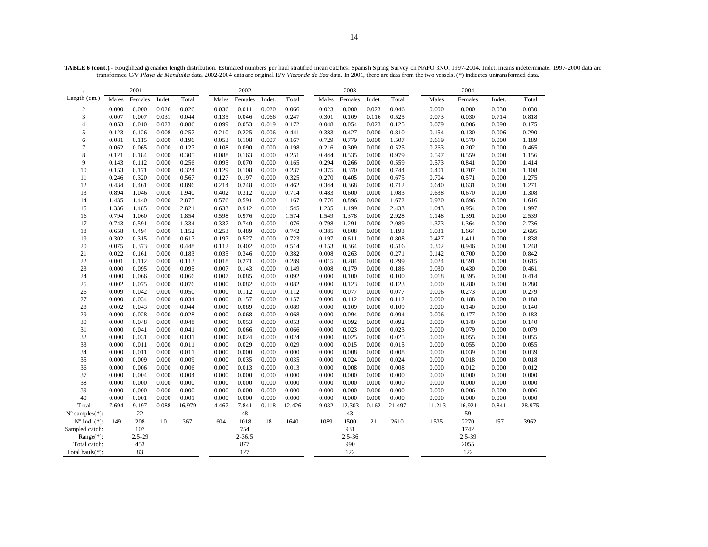**TABLE 6 (cont.).-** Roughhead grenadier length distribution. Estimated numbers per haul stratified mean catches. Spanish Spring Survey on NAFO 3NO: 1997-2004. Indet. means indeterminate. 1997-2000 data are transformed C/V *Playa de Menduíña* data. 2002-2004 data are original R/V *Vizconde de Eza* data. In 2001, there are data from the two vessels. (\*) indicates untransformed data.

| 2001                                |       |            |        |        | 2002  |            |        |        | 2003  |            |        |        |        |            |        |        |
|-------------------------------------|-------|------------|--------|--------|-------|------------|--------|--------|-------|------------|--------|--------|--------|------------|--------|--------|
| Length (cm.)                        | Males | Females    | Indet. | Total  | Males | Females    | Indet. | Total  | Males | Females    | Indet. | Total  | Males  | Females    | Indet. | Total  |
| $\overline{c}$                      | 0.000 | 0.000      | 0.026  | 0.026  | 0.036 | 0.011      | 0.020  | 0.066  | 0.023 | 0.000      | 0.023  | 0.046  | 0.000  | 0.000      | 0.030  | 0.030  |
| 3                                   | 0.007 | 0.007      | 0.031  | 0.044  | 0.135 | 0.046      | 0.066  | 0.247  | 0.301 | 0.109      | 0.116  | 0.525  | 0.073  | 0.030      | 0.714  | 0.818  |
| $\overline{4}$                      | 0.053 | 0.010      | 0.023  | 0.086  | 0.099 | 0.053      | 0.019  | 0.172  | 0.048 | 0.054      | 0.023  | 0.125  | 0.079  | 0.006      | 0.090  | 0.175  |
| 5                                   | 0.123 | 0.126      | 0.008  | 0.257  | 0.210 | 0.225      | 0.006  | 0.441  | 0.383 | 0.427      | 0.000  | 0.810  | 0.154  | 0.130      | 0.006  | 0.290  |
| 6                                   | 0.081 | 0.115      | 0.000  | 0.196  | 0.053 | 0.108      | 0.007  | 0.167  | 0.729 | 0.779      | 0.000  | 1.507  | 0.619  | 0.570      | 0.000  | 1.189  |
| $\overline{7}$                      | 0.062 | 0.065      | 0.000  | 0.127  | 0.108 | 0.090      | 0.000  | 0.198  | 0.216 | 0.309      | 0.000  | 0.525  | 0.263  | 0.202      | 0.000  | 0.465  |
| 8                                   | 0.121 | 0.184      | 0.000  | 0.305  | 0.088 | 0.163      | 0.000  | 0.251  | 0.444 | 0.535      | 0.000  | 0.979  | 0.597  | 0.559      | 0.000  | 1.156  |
| 9                                   | 0.143 | 0.112      | 0.000  | 0.256  | 0.095 | 0.070      | 0.000  | 0.165  | 0.294 | 0.266      | 0.000  | 0.559  | 0.573  | 0.841      | 0.000  | 1.414  |
| 10                                  | 0.153 | 0.171      | 0.000  | 0.324  | 0.129 | 0.108      | 0.000  | 0.237  | 0.375 | 0.370      | 0.000  | 0.744  | 0.401  | 0.707      | 0.000  | 1.108  |
| 11                                  | 0.246 | 0.320      | 0.000  | 0.567  | 0.127 | 0.197      | 0.000  | 0.325  | 0.270 | 0.405      | 0.000  | 0.675  | 0.704  | 0.571      | 0.000  | 1.275  |
| 12                                  | 0.434 | 0.461      | 0.000  | 0.896  | 0.214 | 0.248      | 0.000  | 0.462  | 0.344 | 0.368      | 0.000  | 0.712  | 0.640  | 0.631      | 0.000  | 1.271  |
| 13                                  | 0.894 | 1.046      | 0.000  | 1.940  | 0.402 | 0.312      | 0.000  | 0.714  | 0.483 | 0.600      | 0.000  | 1.083  | 0.638  | 0.670      | 0.000  | 1.308  |
| 14                                  | 1.435 | 1.440      | 0.000  | 2.875  | 0.576 | 0.591      | 0.000  | 1.167  | 0.776 | 0.896      | 0.000  | 1.672  | 0.920  | 0.696      | 0.000  | 1.616  |
| 15                                  | 1.336 | 1.485      | 0.000  | 2.821  | 0.633 | 0.912      | 0.000  | 1.545  | 1.235 | 1.199      | 0.000  | 2.433  | 1.043  | 0.954      | 0.000  | 1.997  |
| 16                                  | 0.794 | 1.060      | 0.000  | 1.854  | 0.598 | 0.976      | 0.000  | 1.574  | 1.549 | 1.378      | 0.000  | 2.928  | 1.148  | 1.391      | 0.000  | 2.539  |
| 17                                  | 0.743 | 0.591      | 0.000  | 1.334  | 0.337 | 0.740      | 0.000  | 1.076  | 0.798 | 1.291      | 0.000  | 2.089  | 1.373  | 1.364      | 0.000  | 2.736  |
| 18                                  | 0.658 | 0.494      | 0.000  | 1.152  | 0.253 | 0.489      | 0.000  | 0.742  | 0.385 | 0.808      | 0.000  | 1.193  | 1.031  | 1.664      | 0.000  | 2.695  |
| 19                                  | 0.302 | 0.315      | 0.000  | 0.617  | 0.197 | 0.527      | 0.000  | 0.723  | 0.197 | 0.611      | 0.000  | 0.808  | 0.427  | 1.411      | 0.000  | 1.838  |
| 20                                  | 0.075 | 0.373      | 0.000  | 0.448  | 0.112 | 0.402      | 0.000  | 0.514  | 0.153 | 0.364      | 0.000  | 0.516  | 0.302  | 0.946      | 0.000  | 1.248  |
| 21                                  | 0.022 | 0.161      | 0.000  | 0.183  | 0.035 | 0.346      | 0.000  | 0.382  | 0.008 | 0.263      | 0.000  | 0.271  | 0.142  | 0.700      | 0.000  | 0.842  |
| 22                                  | 0.001 | 0.112      | 0.000  | 0.113  | 0.018 | 0.271      | 0.000  | 0.289  | 0.015 | 0.284      | 0.000  | 0.299  | 0.024  | 0.591      | 0.000  | 0.615  |
| 23                                  | 0.000 | 0.095      | 0.000  | 0.095  | 0.007 | 0.143      | 0.000  | 0.149  | 0.008 | 0.179      | 0.000  | 0.186  | 0.030  | 0.430      | 0.000  | 0.461  |
| 24                                  | 0.000 | 0.066      | 0.000  | 0.066  | 0.007 | 0.085      | 0.000  | 0.092  | 0.000 | 0.100      | 0.000  | 0.100  | 0.018  | 0.395      | 0.000  | 0.414  |
| 25                                  | 0.002 | 0.075      | 0.000  | 0.076  | 0.000 | 0.082      | 0.000  | 0.082  | 0.000 | 0.123      | 0.000  | 0.123  | 0.000  | 0.280      | 0.000  | 0.280  |
| 26                                  | 0.009 | 0.042      | 0.000  | 0.050  | 0.000 | 0.112      | 0.000  | 0.112  | 0.000 | 0.077      | 0.000  | 0.077  | 0.006  | 0.273      | 0.000  | 0.279  |
| 27                                  | 0.000 | 0.034      | 0.000  | 0.034  | 0.000 | 0.157      | 0.000  | 0.157  | 0.000 | 0.112      | 0.000  | 0.112  | 0.000  | 0.188      | 0.000  | 0.188  |
| 28                                  | 0.002 | 0.043      | 0.000  | 0.044  | 0.000 | 0.089      | 0.000  | 0.089  | 0.000 | 0.109      | 0.000  | 0.109  | 0.000  | 0.140      | 0.000  | 0.140  |
| 29                                  | 0.000 | 0.028      | 0.000  | 0.028  | 0.000 | 0.068      | 0.000  | 0.068  | 0.000 | 0.094      | 0.000  | 0.094  | 0.006  | 0.177      | 0.000  | 0.183  |
| 30                                  | 0.000 | 0.048      | 0.000  | 0.048  | 0.000 | 0.053      | 0.000  | 0.053  | 0.000 | 0.092      | 0.000  | 0.092  | 0.000  | 0.140      | 0.000  | 0.140  |
| 31                                  | 0.000 | 0.041      | 0.000  | 0.041  | 0.000 | 0.066      | 0.000  | 0.066  | 0.000 | 0.023      | 0.000  | 0.023  | 0.000  | 0.079      | 0.000  | 0.079  |
| 32                                  | 0.000 | 0.031      | 0.000  | 0.031  | 0.000 | 0.024      | 0.000  | 0.024  | 0.000 | 0.025      | 0.000  | 0.025  | 0.000  | 0.055      | 0.000  | 0.055  |
| 33                                  | 0.000 | 0.011      | 0.000  | 0.011  | 0.000 | 0.029      | 0.000  | 0.029  | 0.000 | 0.015      | 0.000  | 0.015  | 0.000  | 0.055      | 0.000  | 0.055  |
| 34                                  | 0.000 | 0.011      | 0.000  | 0.011  | 0.000 | 0.000      | 0.000  | 0.000  | 0.000 | 0.008      | 0.000  | 0.008  | 0.000  | 0.039      | 0.000  | 0.039  |
| 35                                  | 0.000 | 0.009      | 0.000  | 0.009  | 0.000 | 0.035      | 0.000  | 0.035  | 0.000 | 0.024      | 0.000  | 0.024  | 0.000  | 0.018      | 0.000  | 0.018  |
| 36                                  | 0.000 | 0.006      | 0.000  | 0.006  | 0.000 | 0.013      | 0.000  | 0.013  | 0.000 | 0.008      | 0.000  | 0.008  | 0.000  | 0.012      | 0.000  | 0.012  |
| 37                                  | 0.000 | 0.004      | 0.000  | 0.004  | 0.000 | 0.000      | 0.000  | 0.000  | 0.000 | 0.000      | 0.000  | 0.000  | 0.000  | 0.000      | 0.000  | 0.000  |
| 38                                  | 0.000 | 0.000      | 0.000  | 0.000  | 0.000 | 0.000      | 0.000  | 0.000  | 0.000 | 0.000      | 0.000  | 0.000  | 0.000  | 0.000      | 0.000  | 0.000  |
| 39                                  | 0.000 | 0.000      | 0.000  | 0.000  | 0.000 | 0.000      | 0.000  | 0.000  | 0.000 | 0.000      | 0.000  | 0.000  | 0.000  | 0.006      | 0.000  | 0.006  |
| 40                                  | 0.000 | 0.001      | 0.000  | 0.001  | 0.000 | 0.000      | 0.000  | 0.000  | 0.000 | 0.000      | 0.000  | 0.000  | 0.000  | 0.000      | 0.000  | 0.000  |
| Total                               | 7.694 | 9.197      | 0.088  | 16.979 | 4.467 | 7.841      | 0.118  | 12.426 | 9.032 | 12.303     | 0.162  | 21.497 | 11.213 | 16.921     | 0.841  | 28.975 |
| $N^{\circ}$ samples $(*)$ :         |       | 22         |        |        |       | 48         |        |        |       | 43         |        |        |        | 59         |        |        |
| $\mathrm{N}^{\mathrm{o}}$ Ind. (*): | 149   | 208        | 10     | 367    | 604   | 1018       | 18     | 1640   | 1089  | 1500       | 21     | 2610   | 1535   | 2270       | 157    | 3962   |
| Sampled catch:                      |       | 107        |        |        |       | 754        |        |        |       | 931        |        |        |        | 1742       |        |        |
| Range(*):                           |       | $2.5 - 29$ |        |        |       | $2 - 36.5$ |        |        |       | $2.5 - 36$ |        |        |        | $2.5 - 39$ |        |        |
| Total catch:                        |       | 453        |        |        |       | 877        |        |        |       | 990        |        |        |        | 2055       |        |        |
| Total hauls(*):                     |       | 83         |        |        |       | 127        |        |        |       | 122        |        |        |        | 122        |        |        |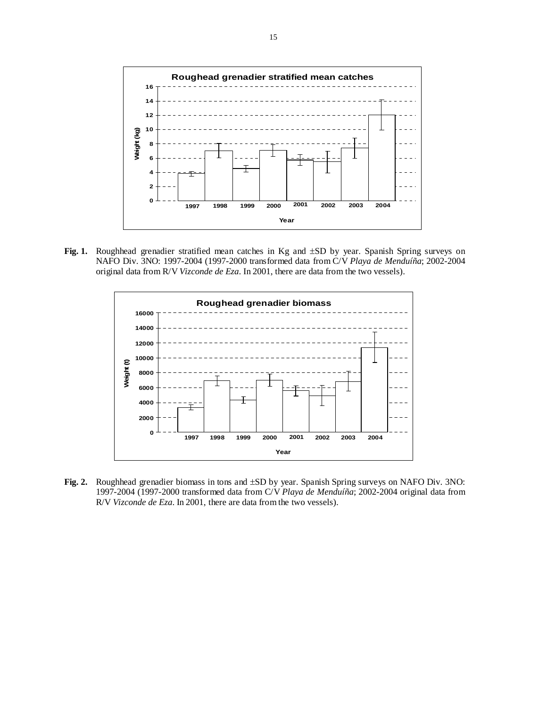

**Fig. 1.** Roughhead grenadier stratified mean catches in Kg and ±SD by year. Spanish Spring surveys on NAFO Div. 3NO: 1997-2004 (1997-2000 transformed data from C/V *Playa de Menduíña*; 2002-2004 original data from R/V *Vizconde de Eza*. In 2001, there are data from the two vessels).



**Fig. 2.** Roughhead grenadier biomass in tons and ±SD by year. Spanish Spring surveys on NAFO Div. 3NO: 1997-2004 (1997-2000 transformed data from C/V *Playa de Menduíña*; 2002-2004 original data from R/V *Vizconde de Eza*. In 2001, there are data from the two vessels).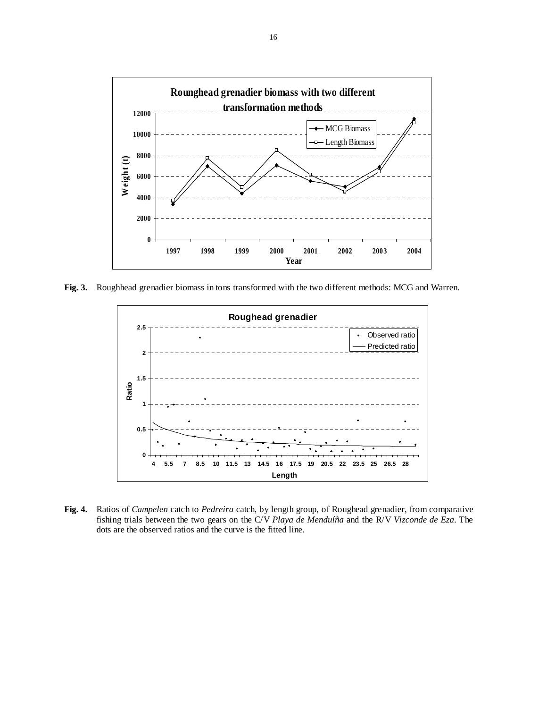

**Fig. 3.** Roughhead grenadier biomass in tons transformed with the two different methods: MCG and Warren.



**Fig. 4.** Ratios of *Campelen* catch to *Pedreira* catch, by length group, of Roughead grenadier, from comparative fishing trials between the two gears on the C/V *Playa de Menduíña* and the R/V *Vizconde de Eza*. The dots are the observed ratios and the curve is the fitted line.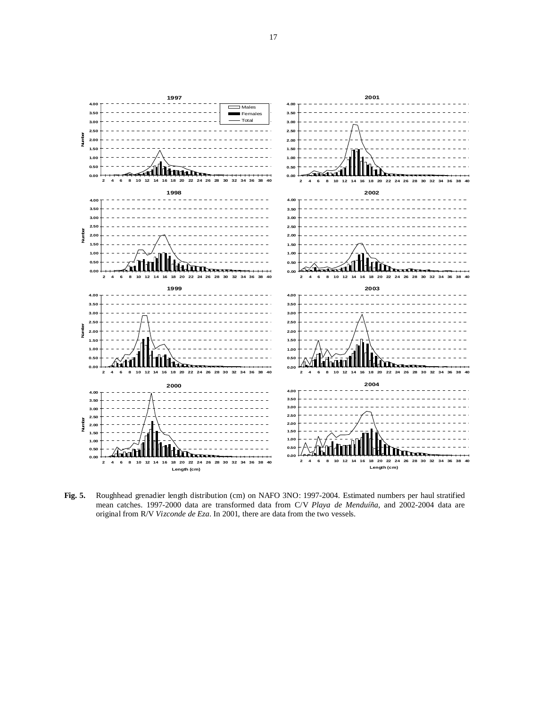

**Fig. 5.** Roughhead grenadier length distribution (cm) on NAFO 3NO: 1997-2004. Estimated numbers per haul stratified mean catches. 1997-2000 data are transformed data from C/V *Playa de Menduíña*, and 2002-2004 data are original from R/V *Vizconde de Eza*. In 2001, there are data from the two vessels.